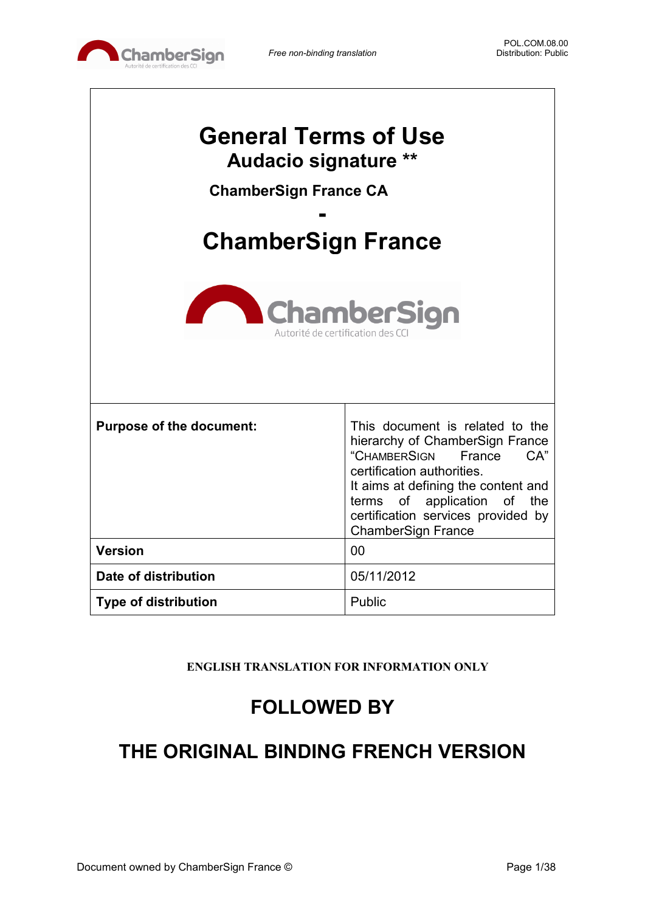

 $\Gamma$ 

٦

| <b>General Terms of Use</b><br>Audacio signature **<br><b>ChamberSign France CA</b><br><b>ChamberSign France</b><br><b>ChamberSign</b><br>Autorité de certification des CC |                                                                                                                                                                                                                                                                            |  |  |
|----------------------------------------------------------------------------------------------------------------------------------------------------------------------------|----------------------------------------------------------------------------------------------------------------------------------------------------------------------------------------------------------------------------------------------------------------------------|--|--|
| <b>Purpose of the document:</b>                                                                                                                                            | This document is related to the<br>hierarchy of ChamberSign France<br>"CHAMBERSIGN<br>CA"<br>France<br>certification authorities.<br>It aims at defining the content and<br>terms of application of the<br>certification services provided by<br><b>ChamberSign France</b> |  |  |
| <b>Version</b>                                                                                                                                                             | 00                                                                                                                                                                                                                                                                         |  |  |
| Date of distribution                                                                                                                                                       | 05/11/2012                                                                                                                                                                                                                                                                 |  |  |
| <b>Type of distribution</b>                                                                                                                                                | Public                                                                                                                                                                                                                                                                     |  |  |

**ENGLISH TRANSLATION FOR INFORMATION ONLY**

## **FOLLOWED BY**

## **THE ORIGINAL BINDING FRENCH VERSION**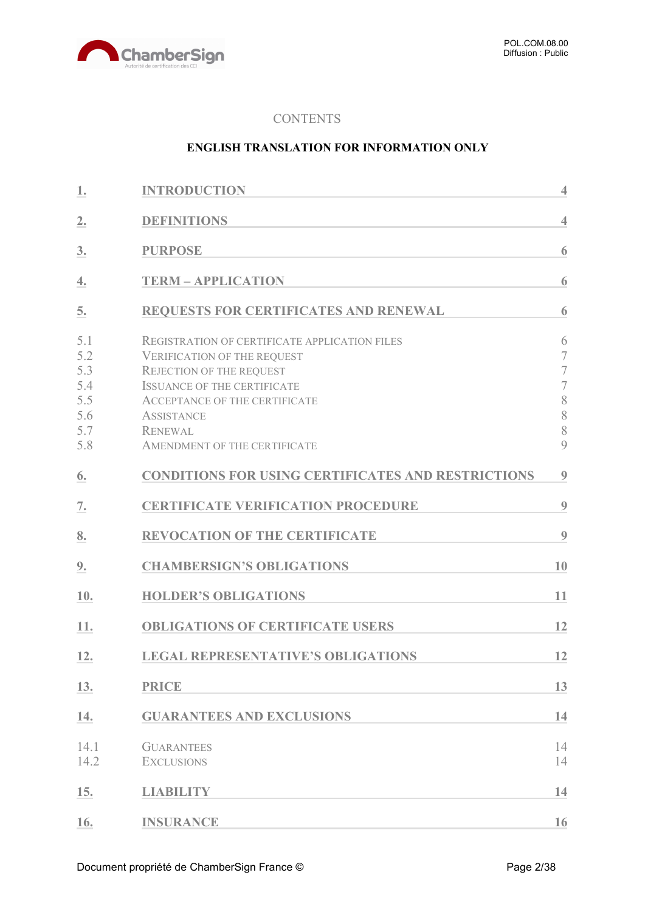

#### **CONTENTS**

#### **ENGLISH TRANSLATION FOR INFORMATION ONLY**

| 1.                                                   | <b>INTRODUCTION</b>                                                                                                                                                                                                                                                                | $\overline{4}$                                                                                       |
|------------------------------------------------------|------------------------------------------------------------------------------------------------------------------------------------------------------------------------------------------------------------------------------------------------------------------------------------|------------------------------------------------------------------------------------------------------|
| 2.                                                   | <b>DEFINITIONS</b>                                                                                                                                                                                                                                                                 | $\overline{4}$                                                                                       |
| 3.                                                   | <b>PURPOSE</b>                                                                                                                                                                                                                                                                     | 6                                                                                                    |
| 4.                                                   | <b>TERM - APPLICATION</b>                                                                                                                                                                                                                                                          | 6                                                                                                    |
| 5.                                                   | REQUESTS FOR CERTIFICATES AND RENEWAL                                                                                                                                                                                                                                              | 6                                                                                                    |
| 5.1<br>5.2<br>5.3<br>5.4<br>5.5<br>5.6<br>5.7<br>5.8 | <b>REGISTRATION OF CERTIFICATE APPLICATION FILES</b><br><b>VERIFICATION OF THE REQUEST</b><br><b>REJECTION OF THE REQUEST</b><br><b>ISSUANCE OF THE CERTIFICATE</b><br><b>ACCEPTANCE OF THE CERTIFICATE</b><br><b>ASSISTANCE</b><br><b>RENEWAL</b><br>AMENDMENT OF THE CERTIFICATE | 6<br>$\overline{7}$<br>$\overline{\mathcal{I}}$<br>$\overline{\mathcal{I}}$<br>$\, 8$<br>8<br>8<br>9 |
| 6.                                                   | <b>CONDITIONS FOR USING CERTIFICATES AND RESTRICTIONS</b>                                                                                                                                                                                                                          | 9                                                                                                    |
| 7.                                                   | <b>CERTIFICATE VERIFICATION PROCEDURE</b>                                                                                                                                                                                                                                          | 9                                                                                                    |
| 8.                                                   | <b>REVOCATION OF THE CERTIFICATE</b>                                                                                                                                                                                                                                               | 9                                                                                                    |
| 9.                                                   | <b>CHAMBERSIGN'S OBLIGATIONS</b>                                                                                                                                                                                                                                                   | 10                                                                                                   |
| 10.                                                  | <b>HOLDER'S OBLIGATIONS</b>                                                                                                                                                                                                                                                        | 11                                                                                                   |
| 11.                                                  | <b>OBLIGATIONS OF CERTIFICATE USERS</b>                                                                                                                                                                                                                                            | 12                                                                                                   |
| 12.                                                  | <b>LEGAL REPRESENTATIVE'S OBLIGATIONS</b>                                                                                                                                                                                                                                          | 12                                                                                                   |
| 13.                                                  | <b>PRICE</b>                                                                                                                                                                                                                                                                       | 13                                                                                                   |
| 14.                                                  | <b>GUARANTEES AND EXCLUSIONS</b>                                                                                                                                                                                                                                                   | 14                                                                                                   |
| 14.1<br>14.2                                         | <b>GUARANTEES</b><br><b>EXCLUSIONS</b>                                                                                                                                                                                                                                             | 14<br>14                                                                                             |
| 15.                                                  | <b>LIABILITY</b>                                                                                                                                                                                                                                                                   | 14                                                                                                   |
| 16.                                                  | <b>INSURANCE</b>                                                                                                                                                                                                                                                                   | 16                                                                                                   |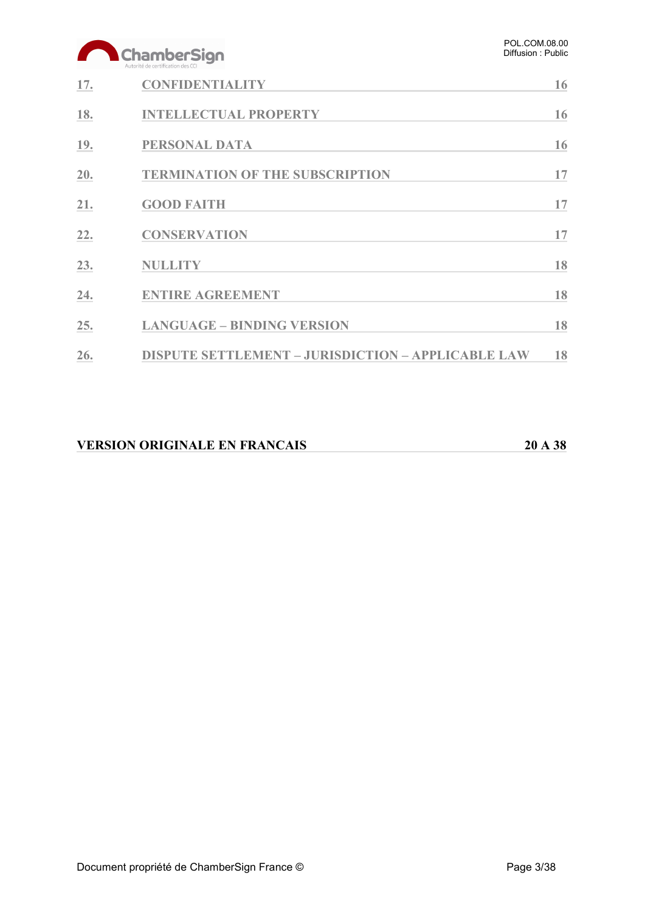# ChamberSign

| 17. | <b>CONFIDENTIALITY</b>                                    | 16 |
|-----|-----------------------------------------------------------|----|
| 18. | <b>INTELLECTUAL PROPERTY</b>                              | 16 |
| 19. | <b>PERSONAL DATA</b>                                      | 16 |
| 20. | <b>TERMINATION OF THE SUBSCRIPTION</b>                    | 17 |
| 21. | <b>GOOD FAITH</b>                                         | 17 |
| 22. | <b>CONSERVATION</b>                                       | 17 |
| 23. | <b>NULLITY</b>                                            | 18 |
| 24. | <b>ENTIRE AGREEMENT</b>                                   | 18 |
| 25. | <b>LANGUAGE - BINDING VERSION</b>                         | 18 |
| 26. | <b>DISPUTE SETTLEMENT - JURISDICTION - APPLICABLE LAW</b> | 18 |

| <b>VERSION ORIGINALE EN FRANCAIS</b><br>20 A 38 |
|-------------------------------------------------|
|-------------------------------------------------|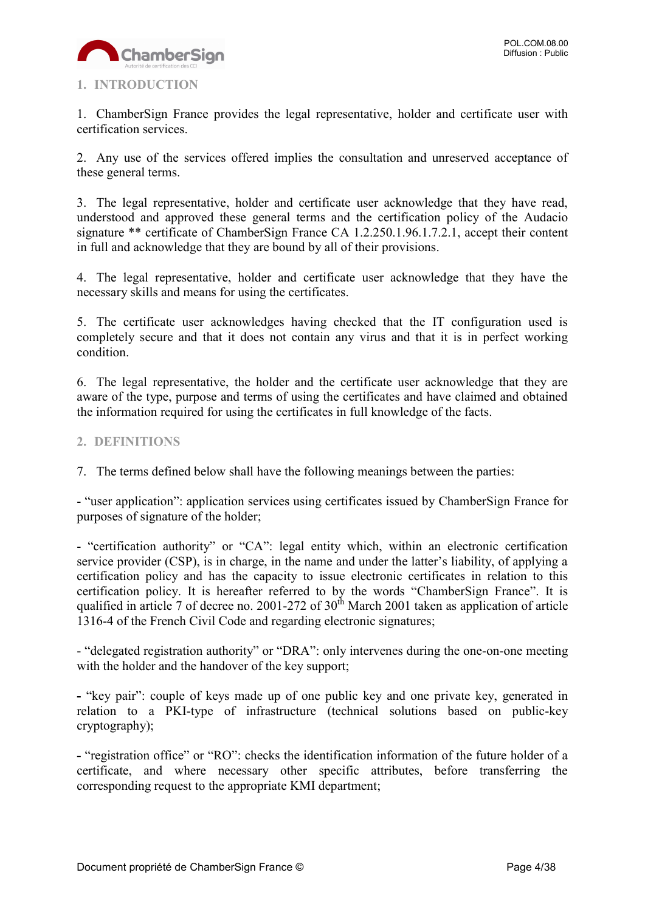

#### <span id="page-3-0"></span>**1. INTRODUCTION**

1. ChamberSign France provides the legal representative, holder and certificate user with certification services.

2. Any use of the services offered implies the consultation and unreserved acceptance of these general terms.

3. The legal representative, holder and certificate user acknowledge that they have read, understood and approved these general terms and the certification policy of the Audacio signature \*\* certificate of ChamberSign France CA 1.2.250.1.96.1.7.2.1, accept their content in full and acknowledge that they are bound by all of their provisions.

4. The legal representative, holder and certificate user acknowledge that they have the necessary skills and means for using the certificates.

5. The certificate user acknowledges having checked that the IT configuration used is completely secure and that it does not contain any virus and that it is in perfect working condition.

6. The legal representative, the holder and the certificate user acknowledge that they are aware of the type, purpose and terms of using the certificates and have claimed and obtained the information required for using the certificates in full knowledge of the facts.

#### <span id="page-3-1"></span>**2. DEFINITIONS**

7. The terms defined below shall have the following meanings between the parties:

- "user application": application services using certificates issued by ChamberSign France for purposes of signature of the holder;

- "certification authority" or "CA": legal entity which, within an electronic certification service provider (CSP), is in charge, in the name and under the latter's liability, of applying a certification policy and has the capacity to issue electronic certificates in relation to this certification policy. It is hereafter referred to by the words "ChamberSign France". It is qualified in article 7 of decree no. 2001-272 of  $30<sup>th</sup>$  March 2001 taken as application of article 1316-4 of the French Civil Code and regarding electronic signatures;

- "delegated registration authority" or "DRA": only intervenes during the one-on-one meeting with the holder and the handover of the key support;

**-** "key pair": couple of keys made up of one public key and one private key, generated in relation to a PKI-type of infrastructure (technical solutions based on public-key cryptography);

**-** "registration office" or "RO": checks the identification information of the future holder of a certificate, and where necessary other specific attributes, before transferring the corresponding request to the appropriate KMI department;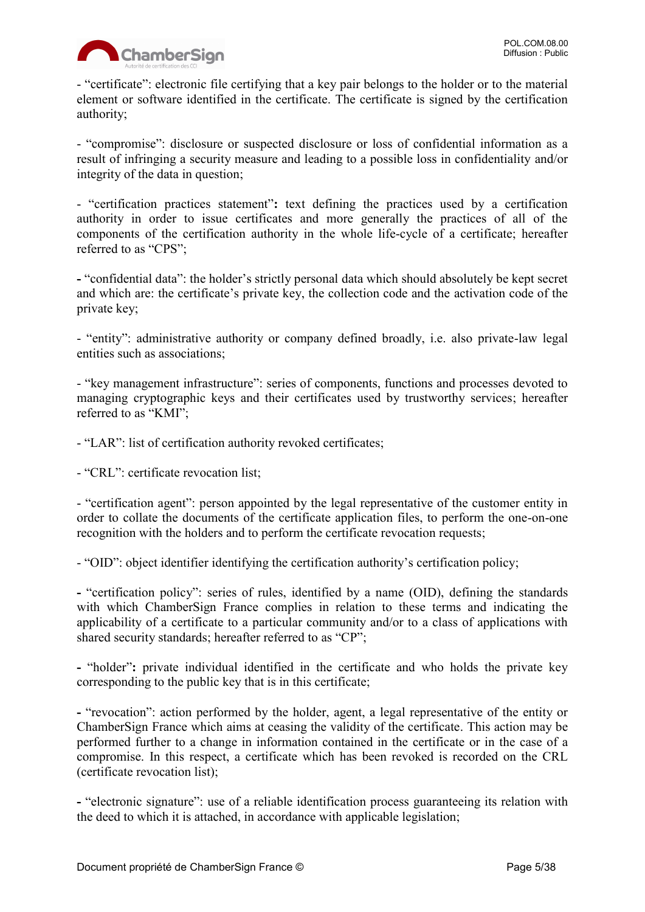

- "certificate": electronic file certifying that a key pair belongs to the holder or to the material element or software identified in the certificate. The certificate is signed by the certification authority;

- "compromise": disclosure or suspected disclosure or loss of confidential information as a result of infringing a security measure and leading to a possible loss in confidentiality and/or integrity of the data in question;

- "certification practices statement"**:** text defining the practices used by a certification authority in order to issue certificates and more generally the practices of all of the components of the certification authority in the whole life-cycle of a certificate; hereafter referred to as "CPS";

**-** "confidential data": the holder's strictly personal data which should absolutely be kept secret and which are: the certificate's private key, the collection code and the activation code of the private key;

- "entity": administrative authority or company defined broadly, i.e. also private-law legal entities such as associations;

- "key management infrastructure": series of components, functions and processes devoted to managing cryptographic keys and their certificates used by trustworthy services; hereafter referred to as "KMI";

- "LAR": list of certification authority revoked certificates;

- "CRL": certificate revocation list;

- "certification agent": person appointed by the legal representative of the customer entity in order to collate the documents of the certificate application files, to perform the one-on-one recognition with the holders and to perform the certificate revocation requests;

- "OID": object identifier identifying the certification authority's certification policy;

**-** "certification policy": series of rules, identified by a name (OID), defining the standards with which ChamberSign France complies in relation to these terms and indicating the applicability of a certificate to a particular community and/or to a class of applications with shared security standards; hereafter referred to as "CP";

**-** "holder"**:** private individual identified in the certificate and who holds the private key corresponding to the public key that is in this certificate;

**-** "revocation": action performed by the holder, agent, a legal representative of the entity or ChamberSign France which aims at ceasing the validity of the certificate. This action may be performed further to a change in information contained in the certificate or in the case of a compromise. In this respect, a certificate which has been revoked is recorded on the CRL (certificate revocation list);

**-** "electronic signature": use of a reliable identification process guaranteeing its relation with the deed to which it is attached, in accordance with applicable legislation;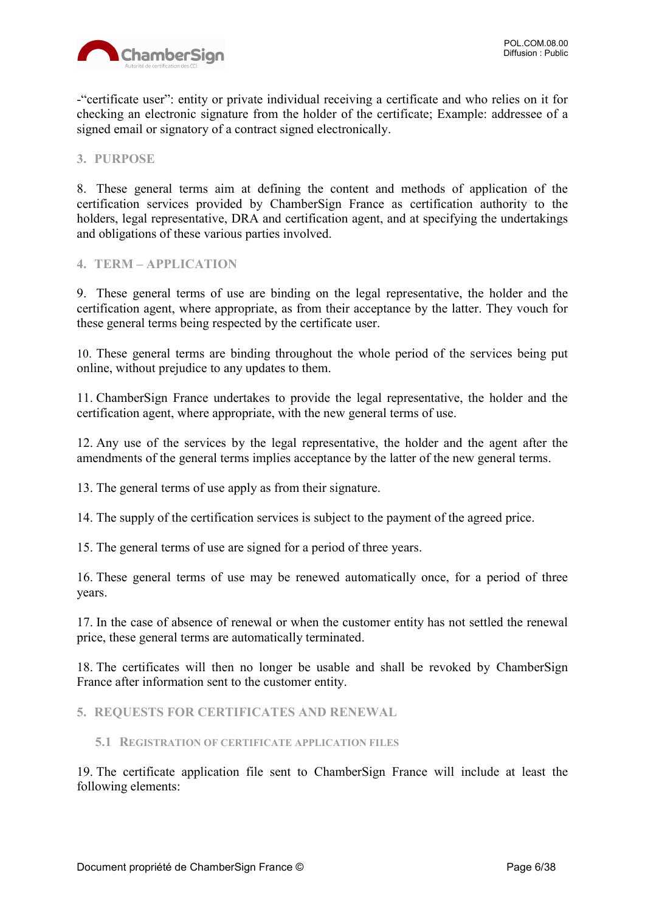

-"certificate user": entity or private individual receiving a certificate and who relies on it for checking an electronic signature from the holder of the certificate; Example: addressee of a signed email or signatory of a contract signed electronically.

<span id="page-5-0"></span>**3. PURPOSE**

8. These general terms aim at defining the content and methods of application of the certification services provided by ChamberSign France as certification authority to the holders, legal representative, DRA and certification agent, and at specifying the undertakings and obligations of these various parties involved.

#### <span id="page-5-1"></span>**4. TERM – APPLICATION**

9. These general terms of use are binding on the legal representative, the holder and the certification agent, where appropriate, as from their acceptance by the latter. They vouch for these general terms being respected by the certificate user.

10. These general terms are binding throughout the whole period of the services being put online, without prejudice to any updates to them.

11. ChamberSign France undertakes to provide the legal representative, the holder and the certification agent, where appropriate, with the new general terms of use.

12. Any use of the services by the legal representative, the holder and the agent after the amendments of the general terms implies acceptance by the latter of the new general terms.

13. The general terms of use apply as from their signature.

14. The supply of the certification services is subject to the payment of the agreed price.

15. The general terms of use are signed for a period of three years.

16. These general terms of use may be renewed automatically once, for a period of three years.

17. In the case of absence of renewal or when the customer entity has not settled the renewal price, these general terms are automatically terminated.

18. The certificates will then no longer be usable and shall be revoked by ChamberSign France after information sent to the customer entity.

<span id="page-5-2"></span>**5. REQUESTS FOR CERTIFICATES AND RENEWAL**

#### <span id="page-5-3"></span>**5.1 REGISTRATION OF CERTIFICATE APPLICATION FILES**

19. The certificate application file sent to ChamberSign France will include at least the following elements: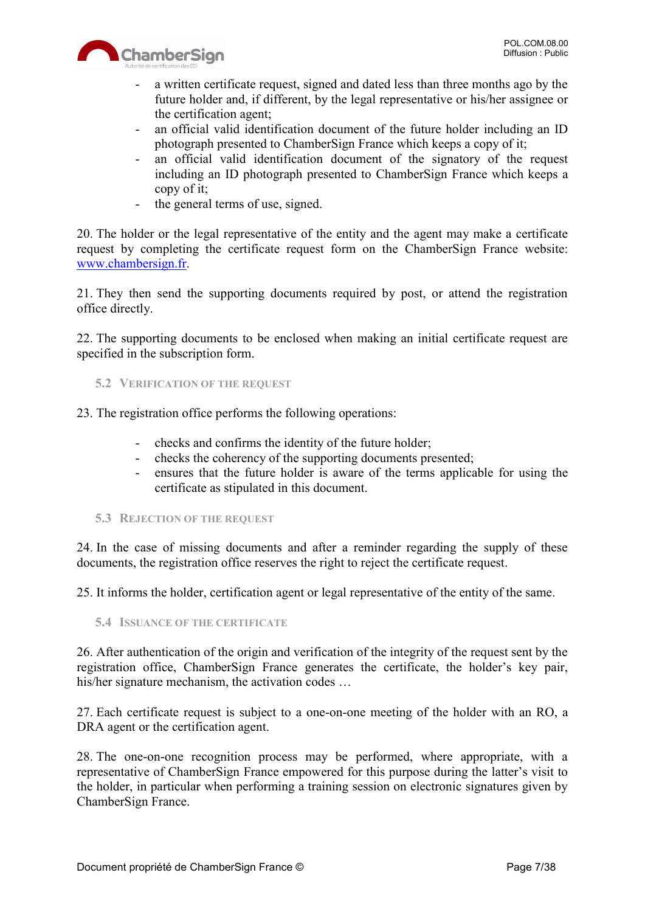

- a written certificate request, signed and dated less than three months ago by the future holder and, if different, by the legal representative or his/her assignee or the certification agent;
- an official valid identification document of the future holder including an ID photograph presented to ChamberSign France which keeps a copy of it;
- an official valid identification document of the signatory of the request including an ID photograph presented to ChamberSign France which keeps a copy of it;
- the general terms of use, signed.

20. The holder or the legal representative of the entity and the agent may make a certificate request by completing the certificate request form on the ChamberSign France website: [www.chambersign.fr.](http://www.chambersign.fr/)

21. They then send the supporting documents required by post, or attend the registration office directly.

22. The supporting documents to be enclosed when making an initial certificate request are specified in the subscription form.

- <span id="page-6-0"></span>**5.2 VERIFICATION OF THE REQUEST**
- 23. The registration office performs the following operations:
	- checks and confirms the identity of the future holder;
	- checks the coherency of the supporting documents presented;
	- ensures that the future holder is aware of the terms applicable for using the certificate as stipulated in this document.
	- **5.3 REJECTION OF THE REQUEST**

<span id="page-6-1"></span>24. In the case of missing documents and after a reminder regarding the supply of these documents, the registration office reserves the right to reject the certificate request.

25. It informs the holder, certification agent or legal representative of the entity of the same.

<span id="page-6-2"></span>**5.4 ISSUANCE OF THE CERTIFICATE**

26. After authentication of the origin and verification of the integrity of the request sent by the registration office, ChamberSign France generates the certificate, the holder's key pair, his/her signature mechanism, the activation codes ...

27. Each certificate request is subject to a one-on-one meeting of the holder with an RO, a DRA agent or the certification agent.

28. The one-on-one recognition process may be performed, where appropriate, with a representative of ChamberSign France empowered for this purpose during the latter's visit to the holder, in particular when performing a training session on electronic signatures given by ChamberSign France.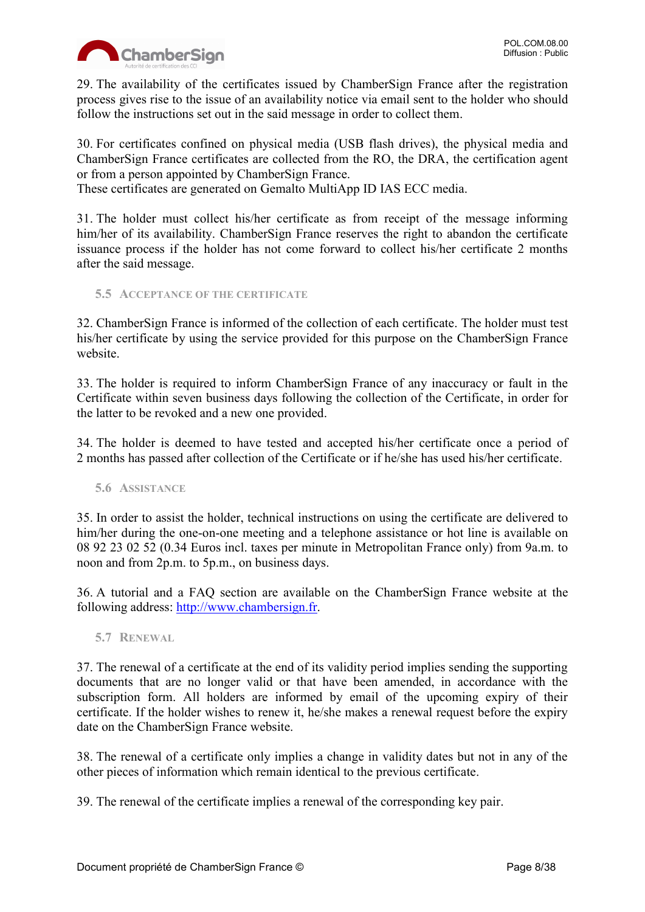

29. The availability of the certificates issued by ChamberSign France after the registration process gives rise to the issue of an availability notice via email sent to the holder who should follow the instructions set out in the said message in order to collect them.

30. For certificates confined on physical media (USB flash drives), the physical media and ChamberSign France certificates are collected from the RO, the DRA, the certification agent or from a person appointed by ChamberSign France.

These certificates are generated on Gemalto MultiApp ID IAS ECC media.

31. The holder must collect his/her certificate as from receipt of the message informing him/her of its availability. ChamberSign France reserves the right to abandon the certificate issuance process if the holder has not come forward to collect his/her certificate 2 months after the said message.

<span id="page-7-0"></span>**5.5 ACCEPTANCE OF THE CERTIFICATE**

32. ChamberSign France is informed of the collection of each certificate. The holder must test his/her certificate by using the service provided for this purpose on the ChamberSign France website.

33. The holder is required to inform ChamberSign France of any inaccuracy or fault in the Certificate within seven business days following the collection of the Certificate, in order for the latter to be revoked and a new one provided.

34. The holder is deemed to have tested and accepted his/her certificate once a period of 2 months has passed after collection of the Certificate or if he/she has used his/her certificate.

<span id="page-7-1"></span>**5.6 ASSISTANCE**

35. In order to assist the holder, technical instructions on using the certificate are delivered to him/her during the one-on-one meeting and a telephone assistance or hot line is available on 08 92 23 02 52 (0.34 Euros incl. taxes per minute in Metropolitan France only) from 9a.m. to noon and from 2p.m. to 5p.m., on business days.

36. A tutorial and a FAQ section are available on the ChamberSign France website at the following address: [http://www.chambersign.fr.](http://www.chambersign.fr/)

<span id="page-7-2"></span>**5.7 RENEWAL**

37. The renewal of a certificate at the end of its validity period implies sending the supporting documents that are no longer valid or that have been amended, in accordance with the subscription form. All holders are informed by email of the upcoming expiry of their certificate. If the holder wishes to renew it, he/she makes a renewal request before the expiry date on the ChamberSign France website.

38. The renewal of a certificate only implies a change in validity dates but not in any of the other pieces of information which remain identical to the previous certificate.

39. The renewal of the certificate implies a renewal of the corresponding key pair.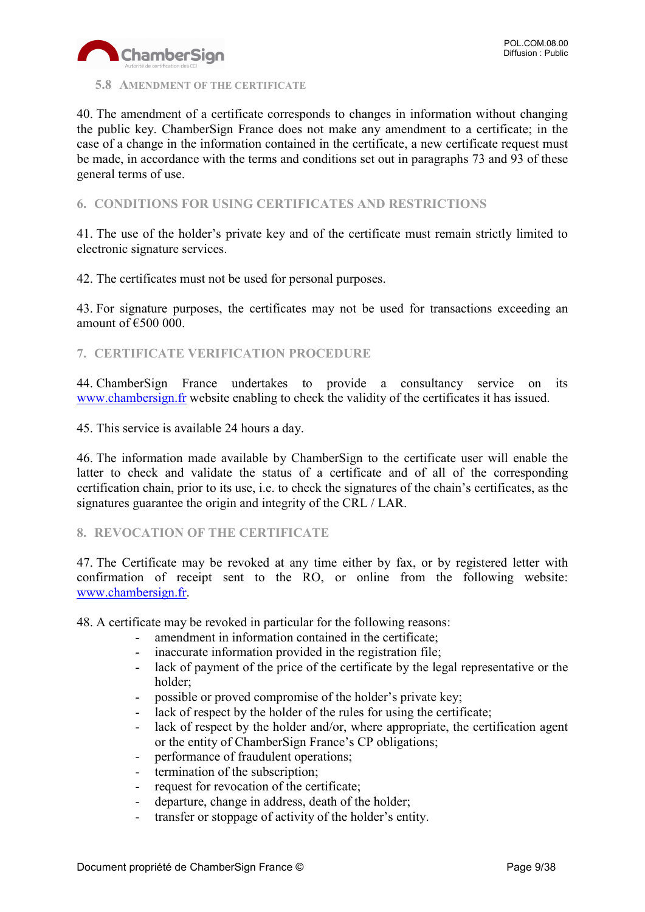

#### <span id="page-8-0"></span>**5.8 AMENDMENT OF THE CERTIFICATE**

40. The amendment of a certificate corresponds to changes in information without changing the public key. ChamberSign France does not make any amendment to a certificate; in the case of a change in the information contained in the certificate, a new certificate request must be made, in accordance with the terms and conditions set out in paragraphs 73 and 93 of these general terms of use.

#### <span id="page-8-1"></span>**6. CONDITIONS FOR USING CERTIFICATES AND RESTRICTIONS**

41. The use of the holder's private key and of the certificate must remain strictly limited to electronic signature services.

42. The certificates must not be used for personal purposes.

43. For signature purposes, the certificates may not be used for transactions exceeding an amount of  $\epsilon$ 500 000.

#### <span id="page-8-2"></span>**7. CERTIFICATE VERIFICATION PROCEDURE**

44. ChamberSign France undertakes to provide a consultancy service on its [www.chambersign.fr](http://www.chambersign.fr/) website enabling to check the validity of the certificates it has issued.

45. This service is available 24 hours a day.

46. The information made available by ChamberSign to the certificate user will enable the latter to check and validate the status of a certificate and of all of the corresponding certification chain, prior to its use, i.e. to check the signatures of the chain's certificates, as the signatures guarantee the origin and integrity of the CRL / LAR.

#### <span id="page-8-3"></span>**8. REVOCATION OF THE CERTIFICATE**

47. The Certificate may be revoked at any time either by fax, or by registered letter with confirmation of receipt sent to the RO, or online from the following website: [www.chambersign.fr.](http://www.chambersign.fr/)

48. A certificate may be revoked in particular for the following reasons:

- amendment in information contained in the certificate:
- inaccurate information provided in the registration file;
- lack of payment of the price of the certificate by the legal representative or the holder;
- possible or proved compromise of the holder's private key;
- lack of respect by the holder of the rules for using the certificate;
- lack of respect by the holder and/or, where appropriate, the certification agent or the entity of ChamberSign France's CP obligations;
- performance of fraudulent operations;
- termination of the subscription;
- request for revocation of the certificate;
- departure, change in address, death of the holder;
- transfer or stoppage of activity of the holder's entity.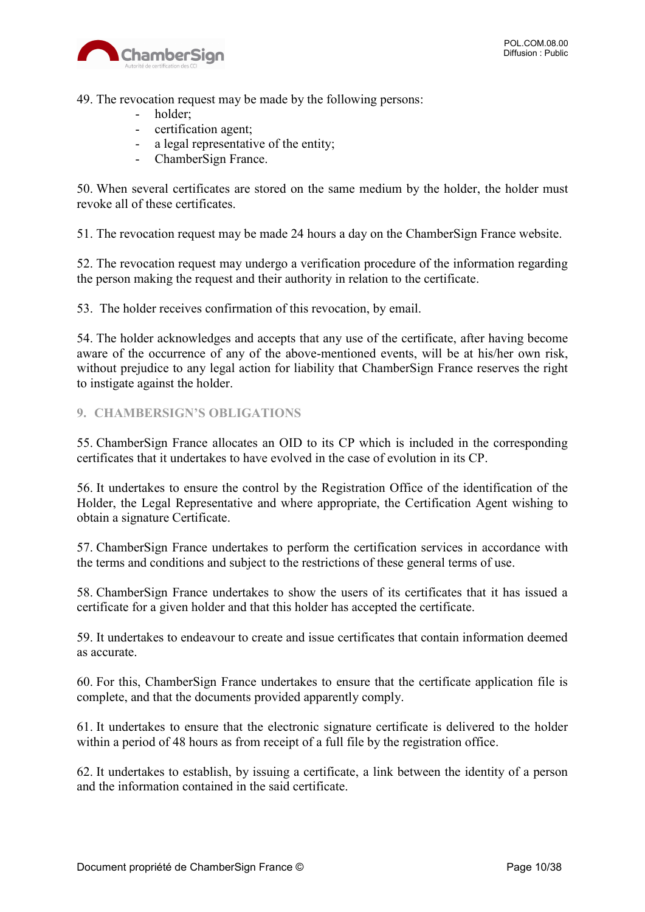

49. The revocation request may be made by the following persons:

- holder;
- certification agent;
- a legal representative of the entity;
- ChamberSign France.

50. When several certificates are stored on the same medium by the holder, the holder must revoke all of these certificates.

51. The revocation request may be made 24 hours a day on the ChamberSign France website.

52. The revocation request may undergo a verification procedure of the information regarding the person making the request and their authority in relation to the certificate.

53. The holder receives confirmation of this revocation, by email.

54. The holder acknowledges and accepts that any use of the certificate, after having become aware of the occurrence of any of the above-mentioned events, will be at his/her own risk, without prejudice to any legal action for liability that ChamberSign France reserves the right to instigate against the holder.

#### <span id="page-9-0"></span>**9. CHAMBERSIGN'S OBLIGATIONS**

55. ChamberSign France allocates an OID to its CP which is included in the corresponding certificates that it undertakes to have evolved in the case of evolution in its CP.

56. It undertakes to ensure the control by the Registration Office of the identification of the Holder, the Legal Representative and where appropriate, the Certification Agent wishing to obtain a signature Certificate.

57. ChamberSign France undertakes to perform the certification services in accordance with the terms and conditions and subject to the restrictions of these general terms of use.

58. ChamberSign France undertakes to show the users of its certificates that it has issued a certificate for a given holder and that this holder has accepted the certificate.

59. It undertakes to endeavour to create and issue certificates that contain information deemed as accurate.

60. For this, ChamberSign France undertakes to ensure that the certificate application file is complete, and that the documents provided apparently comply.

61. It undertakes to ensure that the electronic signature certificate is delivered to the holder within a period of 48 hours as from receipt of a full file by the registration office.

62. It undertakes to establish, by issuing a certificate, a link between the identity of a person and the information contained in the said certificate.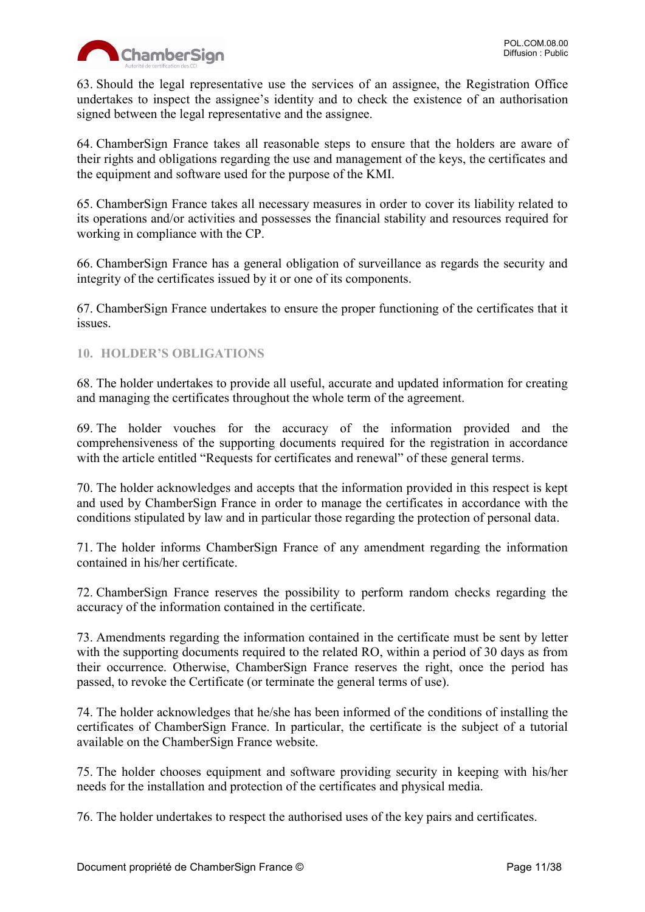

63. Should the legal representative use the services of an assignee, the Registration Office undertakes to inspect the assignee's identity and to check the existence of an authorisation signed between the legal representative and the assignee.

64. ChamberSign France takes all reasonable steps to ensure that the holders are aware of their rights and obligations regarding the use and management of the keys, the certificates and the equipment and software used for the purpose of the KMI.

65. ChamberSign France takes all necessary measures in order to cover its liability related to its operations and/or activities and possesses the financial stability and resources required for working in compliance with the CP.

66. ChamberSign France has a general obligation of surveillance as regards the security and integrity of the certificates issued by it or one of its components.

67. ChamberSign France undertakes to ensure the proper functioning of the certificates that it issues.

#### <span id="page-10-0"></span>**10. HOLDER'S OBLIGATIONS**

68. The holder undertakes to provide all useful, accurate and updated information for creating and managing the certificates throughout the whole term of the agreement.

69. The holder vouches for the accuracy of the information provided and the comprehensiveness of the supporting documents required for the registration in accordance with the article entitled "Requests for certificates and renewal" of these general terms.

70. The holder acknowledges and accepts that the information provided in this respect is kept and used by ChamberSign France in order to manage the certificates in accordance with the conditions stipulated by law and in particular those regarding the protection of personal data.

71. The holder informs ChamberSign France of any amendment regarding the information contained in his/her certificate.

72. ChamberSign France reserves the possibility to perform random checks regarding the accuracy of the information contained in the certificate.

73. Amendments regarding the information contained in the certificate must be sent by letter with the supporting documents required to the related RO, within a period of 30 days as from their occurrence. Otherwise, ChamberSign France reserves the right, once the period has passed, to revoke the Certificate (or terminate the general terms of use).

74. The holder acknowledges that he/she has been informed of the conditions of installing the certificates of ChamberSign France. In particular, the certificate is the subject of a tutorial available on the ChamberSign France website.

75. The holder chooses equipment and software providing security in keeping with his/her needs for the installation and protection of the certificates and physical media.

76. The holder undertakes to respect the authorised uses of the key pairs and certificates.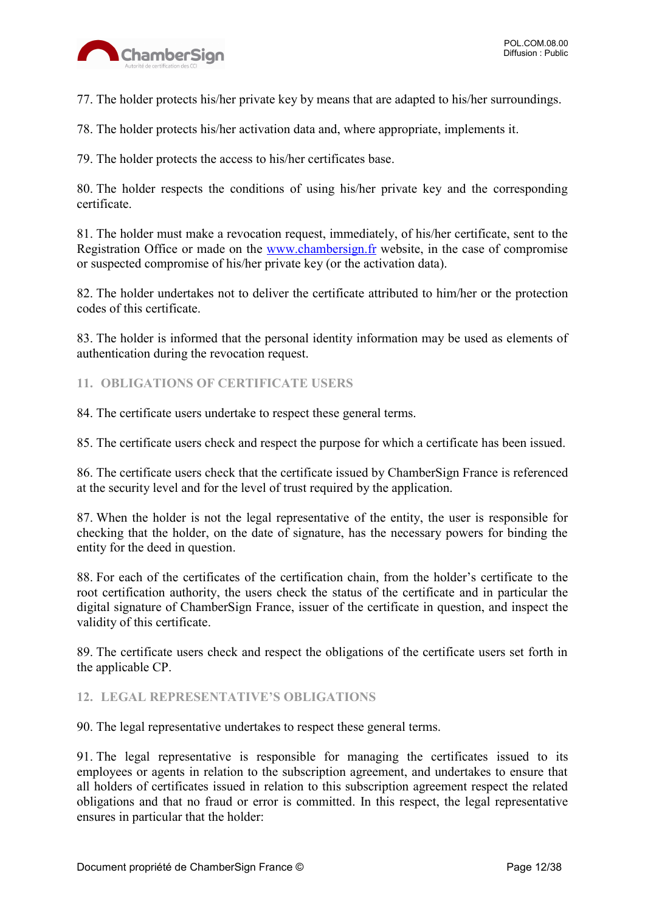

77. The holder protects his/her private key by means that are adapted to his/her surroundings.

78. The holder protects his/her activation data and, where appropriate, implements it.

79. The holder protects the access to his/her certificates base.

80. The holder respects the conditions of using his/her private key and the corresponding certificate.

81. The holder must make a revocation request, immediately, of his/her certificate, sent to the Registration Office or made on the [www.chambersign.fr](http://www.chambersign.fr/) website, in the case of compromise or suspected compromise of his/her private key (or the activation data).

82. The holder undertakes not to deliver the certificate attributed to him/her or the protection codes of this certificate.

83. The holder is informed that the personal identity information may be used as elements of authentication during the revocation request.

#### <span id="page-11-0"></span>**11. OBLIGATIONS OF CERTIFICATE USERS**

84. The certificate users undertake to respect these general terms.

85. The certificate users check and respect the purpose for which a certificate has been issued.

86. The certificate users check that the certificate issued by ChamberSign France is referenced at the security level and for the level of trust required by the application.

87. When the holder is not the legal representative of the entity, the user is responsible for checking that the holder, on the date of signature, has the necessary powers for binding the entity for the deed in question.

88. For each of the certificates of the certification chain, from the holder's certificate to the root certification authority, the users check the status of the certificate and in particular the digital signature of ChamberSign France, issuer of the certificate in question, and inspect the validity of this certificate.

89. The certificate users check and respect the obligations of the certificate users set forth in the applicable CP.

#### <span id="page-11-1"></span>**12. LEGAL REPRESENTATIVE'S OBLIGATIONS**

90. The legal representative undertakes to respect these general terms.

91. The legal representative is responsible for managing the certificates issued to its employees or agents in relation to the subscription agreement, and undertakes to ensure that all holders of certificates issued in relation to this subscription agreement respect the related obligations and that no fraud or error is committed. In this respect, the legal representative ensures in particular that the holder: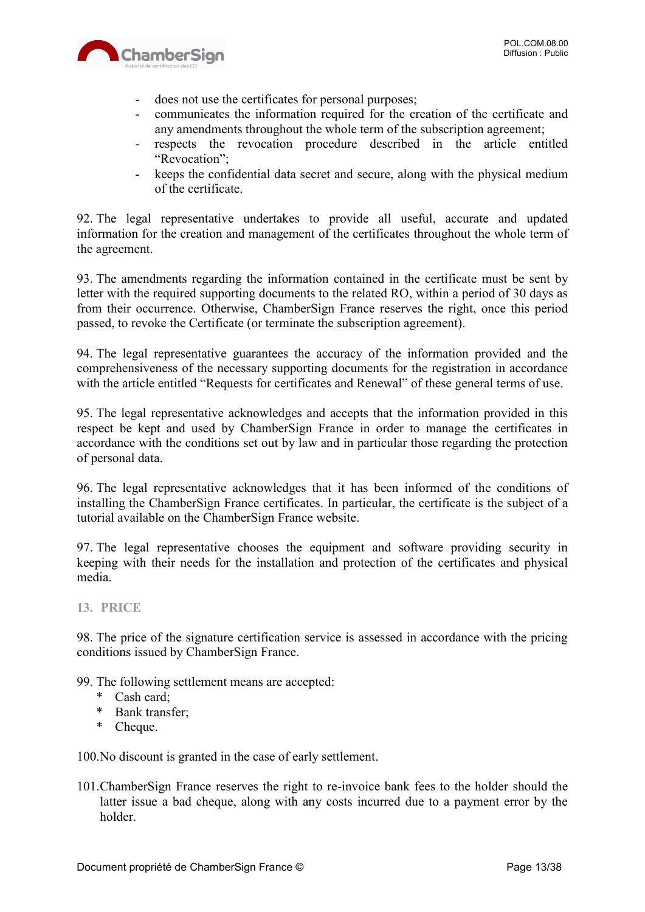

- does not use the certificates for personal purposes;
- communicates the information required for the creation of the certificate and any amendments throughout the whole term of the subscription agreement;
- respects the revocation procedure described in the article entitled "Revocation";
- keeps the confidential data secret and secure, along with the physical medium of the certificate.

92. The legal representative undertakes to provide all useful, accurate and updated information for the creation and management of the certificates throughout the whole term of the agreement.

93. The amendments regarding the information contained in the certificate must be sent by letter with the required supporting documents to the related RO, within a period of 30 days as from their occurrence. Otherwise, ChamberSign France reserves the right, once this period passed, to revoke the Certificate (or terminate the subscription agreement).

94. The legal representative guarantees the accuracy of the information provided and the comprehensiveness of the necessary supporting documents for the registration in accordance with the article entitled "Requests for certificates and Renewal" of these general terms of use.

95. The legal representative acknowledges and accepts that the information provided in this respect be kept and used by ChamberSign France in order to manage the certificates in accordance with the conditions set out by law and in particular those regarding the protection of personal data.

96. The legal representative acknowledges that it has been informed of the conditions of installing the ChamberSign France certificates. In particular, the certificate is the subject of a tutorial available on the ChamberSign France website.

97. The legal representative chooses the equipment and software providing security in keeping with their needs for the installation and protection of the certificates and physical media.

#### <span id="page-12-0"></span>**13. PRICE**

98. The price of the signature certification service is assessed in accordance with the pricing conditions issued by ChamberSign France.

99. The following settlement means are accepted:

- \* Cash card;
- \* Bank transfer;
- \* Cheque.

100.No discount is granted in the case of early settlement.

101.ChamberSign France reserves the right to re-invoice bank fees to the holder should the latter issue a bad cheque, along with any costs incurred due to a payment error by the holder.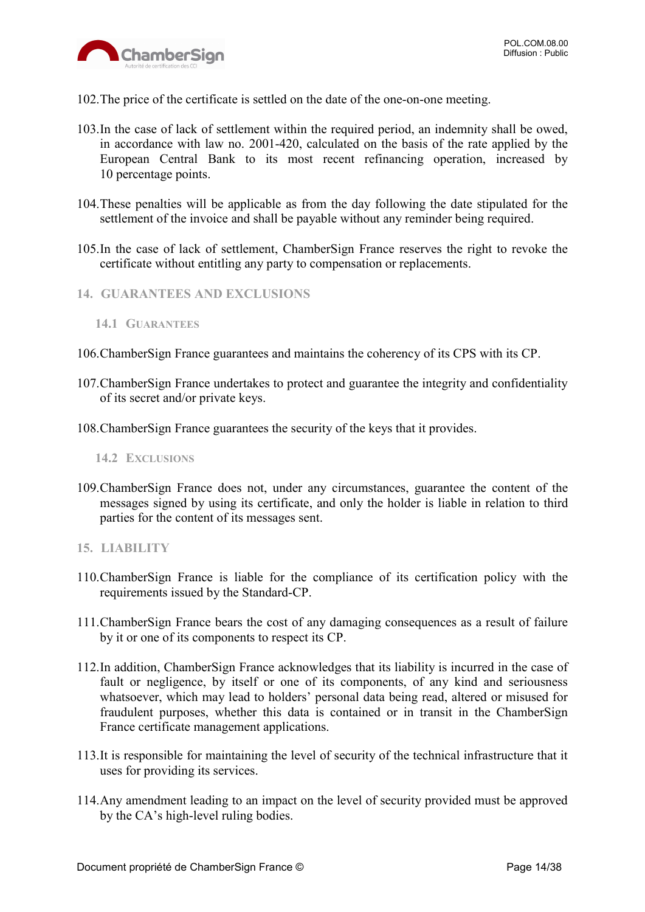- 102.The price of the certificate is settled on the date of the one-on-one meeting.
- 103.In the case of lack of settlement within the required period, an indemnity shall be owed, in accordance with law no. 2001-420, calculated on the basis of the rate applied by the European Central Bank to its most recent refinancing operation, increased by 10 percentage points.
- 104.These penalties will be applicable as from the day following the date stipulated for the settlement of the invoice and shall be payable without any reminder being required.
- 105.In the case of lack of settlement, ChamberSign France reserves the right to revoke the certificate without entitling any party to compensation or replacements.
- <span id="page-13-0"></span>**14. GUARANTEES AND EXCLUSIONS**

- 106.ChamberSign France guarantees and maintains the coherency of its CPS with its CP.
- 107.ChamberSign France undertakes to protect and guarantee the integrity and confidentiality of its secret and/or private keys.
- 108.ChamberSign France guarantees the security of the keys that it provides.

<span id="page-13-2"></span>**14.2 EXCLUSIONS**

- 109.ChamberSign France does not, under any circumstances, guarantee the content of the messages signed by using its certificate, and only the holder is liable in relation to third parties for the content of its messages sent.
- <span id="page-13-3"></span>**15. LIABILITY**
- 110.ChamberSign France is liable for the compliance of its certification policy with the requirements issued by the Standard-CP.
- 111.ChamberSign France bears the cost of any damaging consequences as a result of failure by it or one of its components to respect its CP.
- 112.In addition, ChamberSign France acknowledges that its liability is incurred in the case of fault or negligence, by itself or one of its components, of any kind and seriousness whatsoever, which may lead to holders' personal data being read, altered or misused for fraudulent purposes, whether this data is contained or in transit in the ChamberSign France certificate management applications.
- 113.It is responsible for maintaining the level of security of the technical infrastructure that it uses for providing its services.
- 114.Any amendment leading to an impact on the level of security provided must be approved by the CA's high-level ruling bodies.

<span id="page-13-1"></span>**<sup>14.1</sup> GUARANTEES**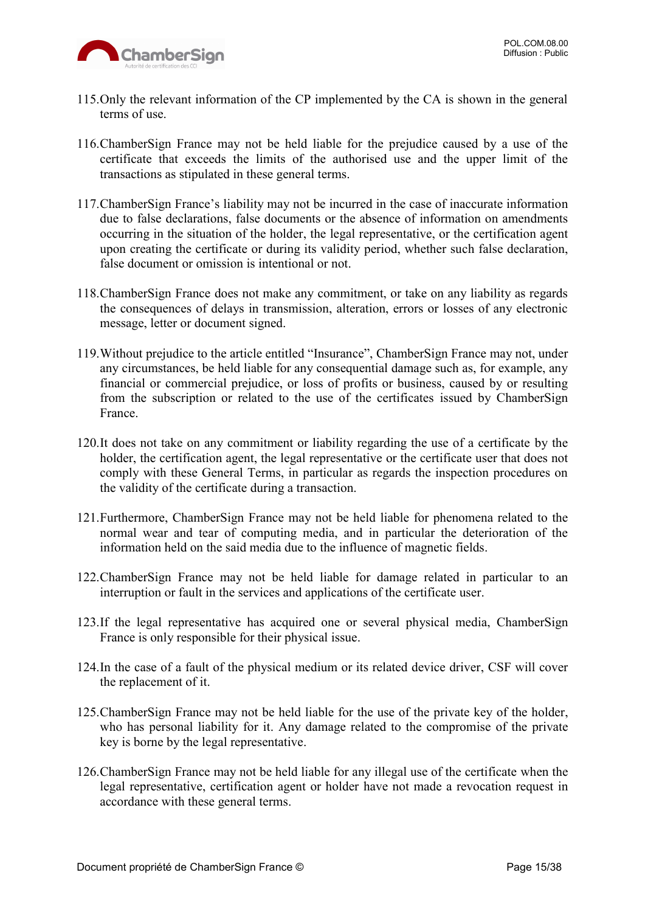

- 115.Only the relevant information of the CP implemented by the CA is shown in the general terms of use.
- 116.ChamberSign France may not be held liable for the prejudice caused by a use of the certificate that exceeds the limits of the authorised use and the upper limit of the transactions as stipulated in these general terms.
- 117.ChamberSign France's liability may not be incurred in the case of inaccurate information due to false declarations, false documents or the absence of information on amendments occurring in the situation of the holder, the legal representative, or the certification agent upon creating the certificate or during its validity period, whether such false declaration, false document or omission is intentional or not.
- 118.ChamberSign France does not make any commitment, or take on any liability as regards the consequences of delays in transmission, alteration, errors or losses of any electronic message, letter or document signed.
- 119.Without prejudice to the article entitled "Insurance", ChamberSign France may not, under any circumstances, be held liable for any consequential damage such as, for example, any financial or commercial prejudice, or loss of profits or business, caused by or resulting from the subscription or related to the use of the certificates issued by ChamberSign France.
- 120.It does not take on any commitment or liability regarding the use of a certificate by the holder, the certification agent, the legal representative or the certificate user that does not comply with these General Terms, in particular as regards the inspection procedures on the validity of the certificate during a transaction.
- 121.Furthermore, ChamberSign France may not be held liable for phenomena related to the normal wear and tear of computing media, and in particular the deterioration of the information held on the said media due to the influence of magnetic fields.
- 122.ChamberSign France may not be held liable for damage related in particular to an interruption or fault in the services and applications of the certificate user.
- 123.If the legal representative has acquired one or several physical media, ChamberSign France is only responsible for their physical issue.
- 124.In the case of a fault of the physical medium or its related device driver, CSF will cover the replacement of it.
- 125.ChamberSign France may not be held liable for the use of the private key of the holder, who has personal liability for it. Any damage related to the compromise of the private key is borne by the legal representative.
- 126.ChamberSign France may not be held liable for any illegal use of the certificate when the legal representative, certification agent or holder have not made a revocation request in accordance with these general terms.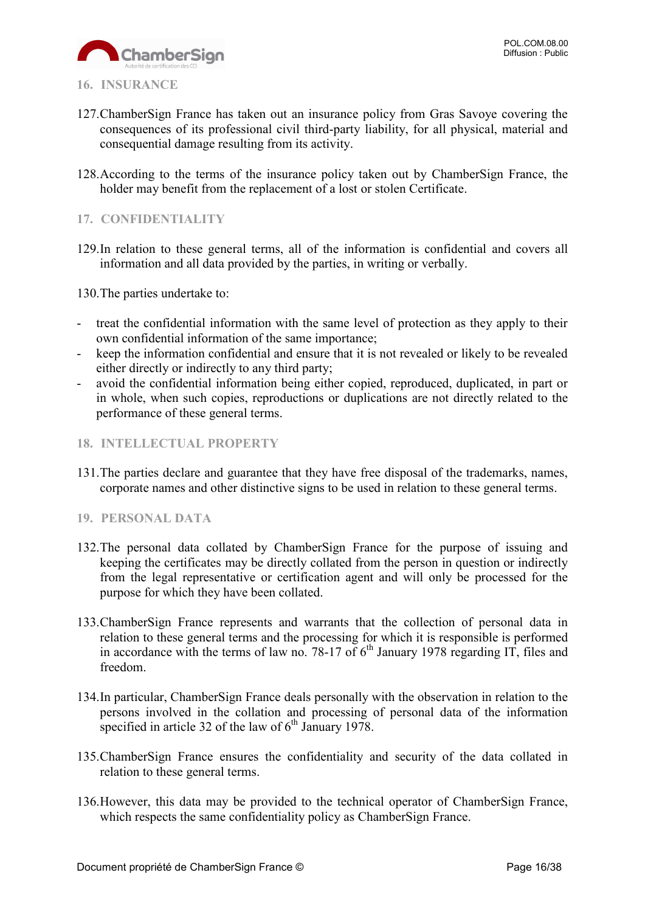

#### <span id="page-15-0"></span>**16. INSURANCE**

- 127.ChamberSign France has taken out an insurance policy from Gras Savoye covering the consequences of its professional civil third-party liability, for all physical, material and consequential damage resulting from its activity.
- 128.According to the terms of the insurance policy taken out by ChamberSign France, the holder may benefit from the replacement of a lost or stolen Certificate.

#### <span id="page-15-1"></span>**17. CONFIDENTIALITY**

129.In relation to these general terms, all of the information is confidential and covers all information and all data provided by the parties, in writing or verbally.

130.The parties undertake to:

- treat the confidential information with the same level of protection as they apply to their own confidential information of the same importance;
- keep the information confidential and ensure that it is not revealed or likely to be revealed either directly or indirectly to any third party;
- avoid the confidential information being either copied, reproduced, duplicated, in part or in whole, when such copies, reproductions or duplications are not directly related to the performance of these general terms.
- <span id="page-15-2"></span>**18. INTELLECTUAL PROPERTY**
- 131.The parties declare and guarantee that they have free disposal of the trademarks, names, corporate names and other distinctive signs to be used in relation to these general terms.

#### <span id="page-15-3"></span>**19. PERSONAL DATA**

- 132.The personal data collated by ChamberSign France for the purpose of issuing and keeping the certificates may be directly collated from the person in question or indirectly from the legal representative or certification agent and will only be processed for the purpose for which they have been collated.
- 133.ChamberSign France represents and warrants that the collection of personal data in relation to these general terms and the processing for which it is responsible is performed in accordance with the terms of law no. 78-17 of  $6<sup>th</sup>$  January 1978 regarding IT, files and freedom.
- 134.In particular, ChamberSign France deals personally with the observation in relation to the persons involved in the collation and processing of personal data of the information specified in article 32 of the law of  $6<sup>th</sup>$  January 1978.
- 135.ChamberSign France ensures the confidentiality and security of the data collated in relation to these general terms.
- 136.However, this data may be provided to the technical operator of ChamberSign France, which respects the same confidentiality policy as ChamberSign France.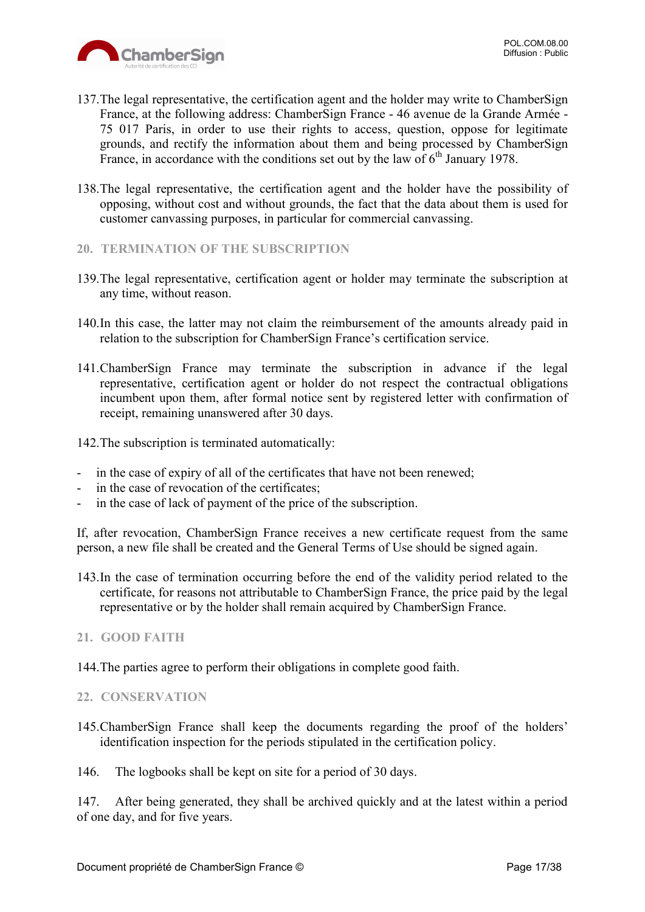

- 137.The legal representative, the certification agent and the holder may write to ChamberSign France, at the following address: ChamberSign France - 46 avenue de la Grande Armée - 75 017 Paris, in order to use their rights to access, question, oppose for legitimate grounds, and rectify the information about them and being processed by ChamberSign France, in accordance with the conditions set out by the law of  $6<sup>th</sup>$  January 1978.
- 138.The legal representative, the certification agent and the holder have the possibility of opposing, without cost and without grounds, the fact that the data about them is used for customer canvassing purposes, in particular for commercial canvassing.
- <span id="page-16-0"></span>**20. TERMINATION OF THE SUBSCRIPTION**
- 139.The legal representative, certification agent or holder may terminate the subscription at any time, without reason.
- 140.In this case, the latter may not claim the reimbursement of the amounts already paid in relation to the subscription for ChamberSign France's certification service.
- 141.ChamberSign France may terminate the subscription in advance if the legal representative, certification agent or holder do not respect the contractual obligations incumbent upon them, after formal notice sent by registered letter with confirmation of receipt, remaining unanswered after 30 days.
- 142.The subscription is terminated automatically:
- in the case of expiry of all of the certificates that have not been renewed;
- in the case of revocation of the certificates;
- in the case of lack of payment of the price of the subscription.

If, after revocation, ChamberSign France receives a new certificate request from the same person, a new file shall be created and the General Terms of Use should be signed again.

- 143.In the case of termination occurring before the end of the validity period related to the certificate, for reasons not attributable to ChamberSign France, the price paid by the legal representative or by the holder shall remain acquired by ChamberSign France.
- <span id="page-16-1"></span>**21. GOOD FAITH**

144.The parties agree to perform their obligations in complete good faith.

#### <span id="page-16-2"></span>**22. CONSERVATION**

145.ChamberSign France shall keep the documents regarding the proof of the holders' identification inspection for the periods stipulated in the certification policy.

146. The logbooks shall be kept on site for a period of 30 days.

147. After being generated, they shall be archived quickly and at the latest within a period of one day, and for five years.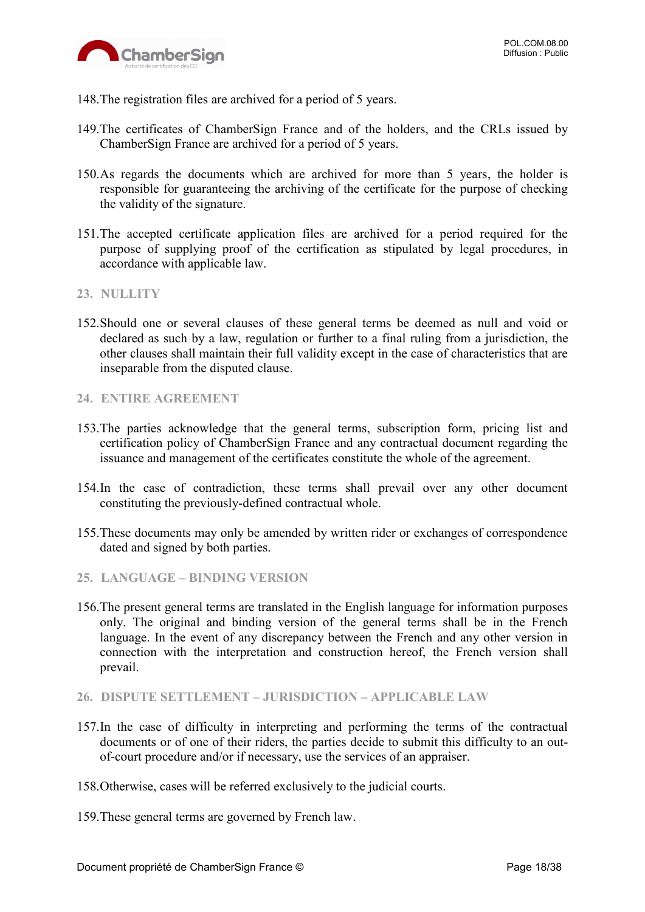

- 148.The registration files are archived for a period of 5 years.
- 149.The certificates of ChamberSign France and of the holders, and the CRLs issued by ChamberSign France are archived for a period of 5 years.
- 150.As regards the documents which are archived for more than 5 years, the holder is responsible for guaranteeing the archiving of the certificate for the purpose of checking the validity of the signature.
- 151.The accepted certificate application files are archived for a period required for the purpose of supplying proof of the certification as stipulated by legal procedures, in accordance with applicable law.
- <span id="page-17-0"></span>**23. NULLITY**
- 152.Should one or several clauses of these general terms be deemed as null and void or declared as such by a law, regulation or further to a final ruling from a jurisdiction, the other clauses shall maintain their full validity except in the case of characteristics that are inseparable from the disputed clause.
- <span id="page-17-1"></span>**24. ENTIRE AGREEMENT**
- 153.The parties acknowledge that the general terms, subscription form, pricing list and certification policy of ChamberSign France and any contractual document regarding the issuance and management of the certificates constitute the whole of the agreement.
- 154.In the case of contradiction, these terms shall prevail over any other document constituting the previously-defined contractual whole.
- 155.These documents may only be amended by written rider or exchanges of correspondence dated and signed by both parties.
- <span id="page-17-2"></span>**25. LANGUAGE – BINDING VERSION**
- 156.The present general terms are translated in the English language for information purposes only. The original and binding version of the general terms shall be in the French language. In the event of any discrepancy between the French and any other version in connection with the interpretation and construction hereof, the French version shall prevail.
- <span id="page-17-3"></span>**26. DISPUTE SETTLEMENT – JURISDICTION – APPLICABLE LAW**
- 157.In the case of difficulty in interpreting and performing the terms of the contractual documents or of one of their riders, the parties decide to submit this difficulty to an outof-court procedure and/or if necessary, use the services of an appraiser.
- 158.Otherwise, cases will be referred exclusively to the judicial courts.
- 159.These general terms are governed by French law.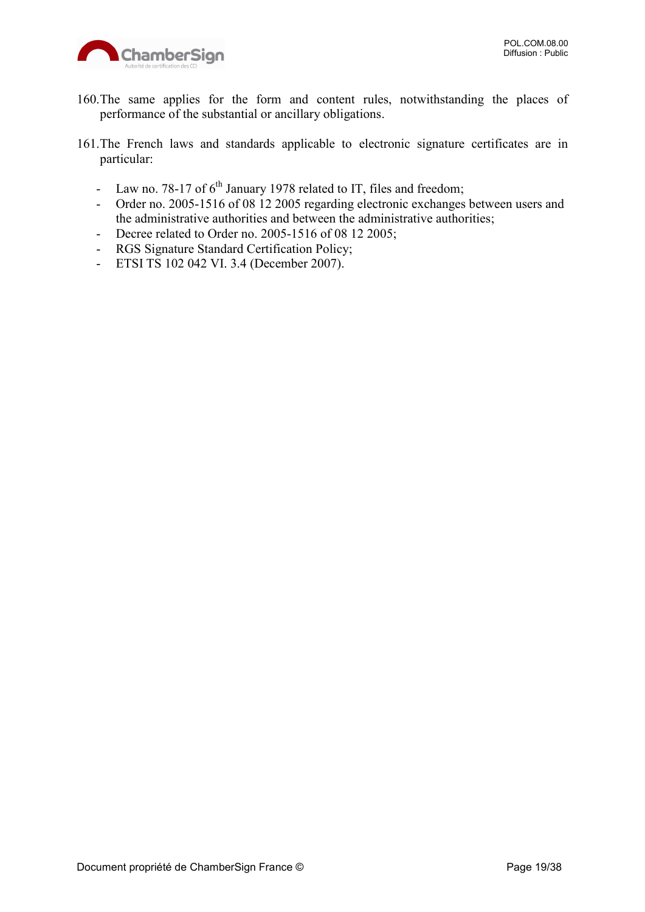

- 160.The same applies for the form and content rules, notwithstanding the places of performance of the substantial or ancillary obligations.
- 161.The French laws and standards applicable to electronic signature certificates are in particular:
	- Law no. 78-17 of  $6<sup>th</sup>$  January 1978 related to IT, files and freedom;
	- Order no. 2005-1516 of 08 12 2005 regarding electronic exchanges between users and the administrative authorities and between the administrative authorities;
	- Decree related to Order no. 2005-1516 of 08 12 2005;
	- RGS Signature Standard Certification Policy;
	- ETSI TS 102 042 VI. 3.4 (December 2007).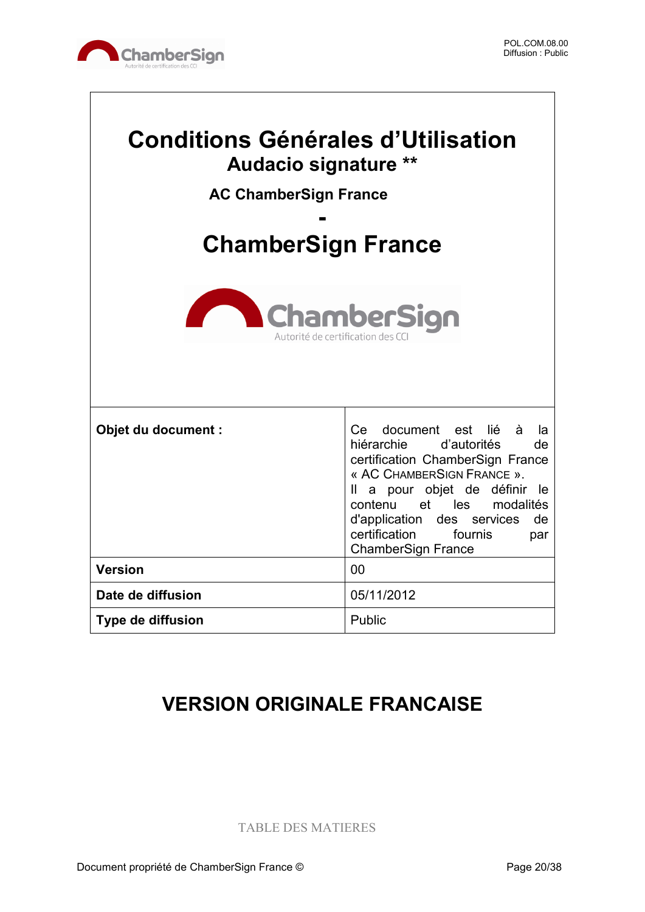

 $\sqrt{ }$ 

| <b>Conditions Générales d'Utilisation</b><br><b>Audacio signature **</b><br><b>AC ChamberSign France</b><br><b>ChamberSign France</b><br><b>ChamberSign</b><br>Autorité de certification des |                                                                                                                                                                                                                                                                                                             |  |
|----------------------------------------------------------------------------------------------------------------------------------------------------------------------------------------------|-------------------------------------------------------------------------------------------------------------------------------------------------------------------------------------------------------------------------------------------------------------------------------------------------------------|--|
| Objet du document :                                                                                                                                                                          | Ce document est<br>lié<br>à<br>la<br>hiérarchie d'autorités<br>de<br>certification ChamberSign France<br>« AC CHAMBERSIGN FRANCE ».<br>Il a pour objet de définir<br>le.<br>contenu et les modalités<br>des services<br>d'application<br>de<br>certification<br>fournis<br>par<br><b>ChamberSign France</b> |  |
| <b>Version</b>                                                                                                                                                                               | 00                                                                                                                                                                                                                                                                                                          |  |
| Date de diffusion                                                                                                                                                                            | 05/11/2012                                                                                                                                                                                                                                                                                                  |  |
| <b>Type de diffusion</b>                                                                                                                                                                     | Public                                                                                                                                                                                                                                                                                                      |  |

## **VERSION ORIGINALE FRANCAISE**

TABLE DES MATIERES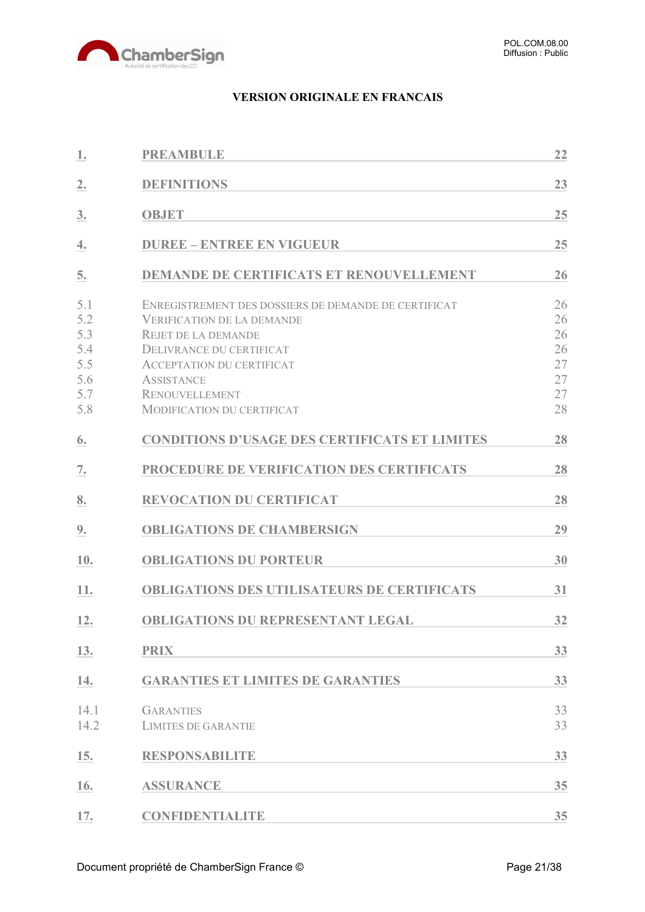

#### **VERSION ORIGINALE EN FRANCAIS**

| 1.                                                   | <b>PREAMBULE</b>                                                                                                                                                                                                                                                           | 22                                           |
|------------------------------------------------------|----------------------------------------------------------------------------------------------------------------------------------------------------------------------------------------------------------------------------------------------------------------------------|----------------------------------------------|
| 2.                                                   | <b>DEFINITIONS</b>                                                                                                                                                                                                                                                         | 23                                           |
| 3.                                                   | <b>OBJET</b>                                                                                                                                                                                                                                                               | 25                                           |
| 4.                                                   | <b>DUREE - ENTREE EN VIGUEUR</b>                                                                                                                                                                                                                                           | 25                                           |
| 5.                                                   | <b>DEMANDE DE CERTIFICATS ET RENOUVELLEMENT</b>                                                                                                                                                                                                                            | 26                                           |
| 5.1<br>5.2<br>5.3<br>5.4<br>5.5<br>5.6<br>5.7<br>5.8 | ENREGISTREMENT DES DOSSIERS DE DEMANDE DE CERTIFICAT<br><b>VERIFICATION DE LA DEMANDE</b><br><b>REJET DE LA DEMANDE</b><br>DELIVRANCE DU CERTIFICAT<br><b>ACCEPTATION DU CERTIFICAT</b><br><b>ASSISTANCE</b><br><b>RENOUVELLEMENT</b><br><b>MODIFICATION DU CERTIFICAT</b> | 26<br>26<br>26<br>26<br>27<br>27<br>27<br>28 |
| 6.                                                   | <b>CONDITIONS D'USAGE DES CERTIFICATS ET LIMITES</b>                                                                                                                                                                                                                       | 28                                           |
| 7.                                                   | PROCEDURE DE VERIFICATION DES CERTIFICATS                                                                                                                                                                                                                                  | 28                                           |
| 8.                                                   | <b>REVOCATION DU CERTIFICAT</b>                                                                                                                                                                                                                                            | 28                                           |
| 9.                                                   | <b>OBLIGATIONS DE CHAMBERSIGN</b>                                                                                                                                                                                                                                          | 29                                           |
| 10.                                                  | <b>OBLIGATIONS DU PORTEUR</b>                                                                                                                                                                                                                                              | 30                                           |
| 11.                                                  | <b>OBLIGATIONS DES UTILISATEURS DE CERTIFICATS</b>                                                                                                                                                                                                                         | 31                                           |
| 12.                                                  | <b>OBLIGATIONS DU REPRESENTANT LEGAL</b>                                                                                                                                                                                                                                   | 32                                           |
| 13.                                                  | <b>PRIX</b>                                                                                                                                                                                                                                                                | 33                                           |
| 14.                                                  | <b>GARANTIES ET LIMITES DE GARANTIES</b>                                                                                                                                                                                                                                   | 33                                           |
| 14.1<br>14.2                                         | <b>GARANTIES</b><br><b>LIMITES DE GARANTIE</b>                                                                                                                                                                                                                             | 33<br>33                                     |
| 15.                                                  | <b>RESPONSABILITE</b>                                                                                                                                                                                                                                                      | 33                                           |
| 16.                                                  | <b>ASSURANCE</b>                                                                                                                                                                                                                                                           | 35                                           |
| 17.                                                  | <b>CONFIDENTIALITE</b>                                                                                                                                                                                                                                                     | 35                                           |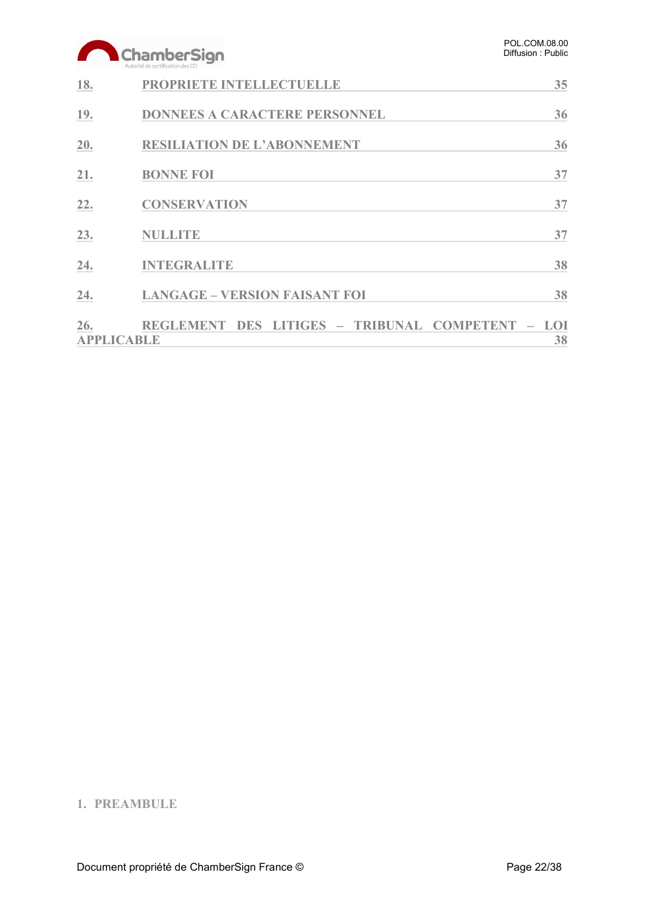|                          | ChamberSign<br>Autorité de certification des CC      | POL.COM.08.00<br>Diffusion: Public |
|--------------------------|------------------------------------------------------|------------------------------------|
| 18.                      | PROPRIETE INTELLECTUELLE                             | 35                                 |
| 19.                      | <b>DONNEES A CARACTERE PERSONNEL</b>                 | 36                                 |
| 20.                      | <b>RESILIATION DE L'ABONNEMENT</b>                   | 36                                 |
| 21.                      | <b>BONNE FOI</b>                                     | 37                                 |
| 22.                      | <b>CONSERVATION</b>                                  | 37                                 |
| 23.                      | <b>NULLITE</b>                                       | 37                                 |
| 24.                      | <b>INTEGRALITE</b>                                   | 38                                 |
| 24.                      | <b>LANGAGE - VERSION FAISANT FOI</b>                 | 38                                 |
| 26.<br><b>APPLICABLE</b> | <b>REGLEMENT DES</b><br>LITIGES - TRIBUNAL COMPETENT | LOI<br>38                          |

### <span id="page-21-0"></span>**1. PREAMBULE**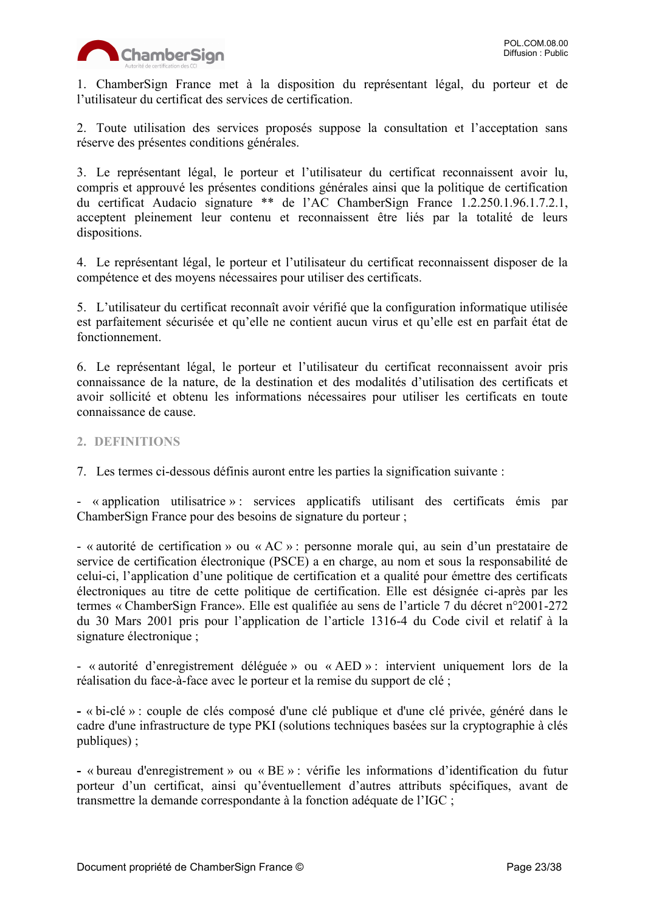

1. ChamberSign France met à la disposition du représentant légal, du porteur et de l'utilisateur du certificat des services de certification.

2. Toute utilisation des services proposés suppose la consultation et l'acceptation sans réserve des présentes conditions générales.

3. Le représentant légal, le porteur et l'utilisateur du certificat reconnaissent avoir lu, compris et approuvé les présentes conditions générales ainsi que la politique de certification du certificat Audacio signature \*\* de l'AC ChamberSign France 1.2.250.1.96.1.7.2.1, acceptent pleinement leur contenu et reconnaissent être liés par la totalité de leurs dispositions.

4. Le représentant légal, le porteur et l'utilisateur du certificat reconnaissent disposer de la compétence et des moyens nécessaires pour utiliser des certificats.

5. L'utilisateur du certificat reconnaît avoir vérifié que la configuration informatique utilisée est parfaitement sécurisée et qu'elle ne contient aucun virus et qu'elle est en parfait état de fonctionnement.

6. Le représentant légal, le porteur et l'utilisateur du certificat reconnaissent avoir pris connaissance de la nature, de la destination et des modalités d'utilisation des certificats et avoir sollicité et obtenu les informations nécessaires pour utiliser les certificats en toute connaissance de cause.

<span id="page-22-0"></span>**2. DEFINITIONS**

7. Les termes ci-dessous définis auront entre les parties la signification suivante :

- « application utilisatrice » : services applicatifs utilisant des certificats émis par ChamberSign France pour des besoins de signature du porteur ;

- « autorité de certification » ou « AC » : personne morale qui, au sein d'un prestataire de service de certification électronique (PSCE) a en charge, au nom et sous la responsabilité de celui-ci, l'application d'une politique de certification et a qualité pour émettre des certificats électroniques au titre de cette politique de certification. Elle est désignée ci-après par les termes « ChamberSign France». Elle est qualifiée au sens de l'article 7 du décret n°2001-272 du 30 Mars 2001 pris pour l'application de l'article 1316-4 du Code civil et relatif à la signature électronique ;

- « autorité d'enregistrement déléguée » ou « AED » : intervient uniquement lors de la réalisation du face-à-face avec le porteur et la remise du support de clé ;

**-** « bi-clé » : couple de clés composé d'une clé publique et d'une clé privée, généré dans le cadre d'une infrastructure de type PKI (solutions techniques basées sur la cryptographie à clés publiques) ;

**-** « bureau d'enregistrement » ou « BE » : vérifie les informations d'identification du futur porteur d'un certificat, ainsi qu'éventuellement d'autres attributs spécifiques, avant de transmettre la demande correspondante à la fonction adéquate de l'IGC ;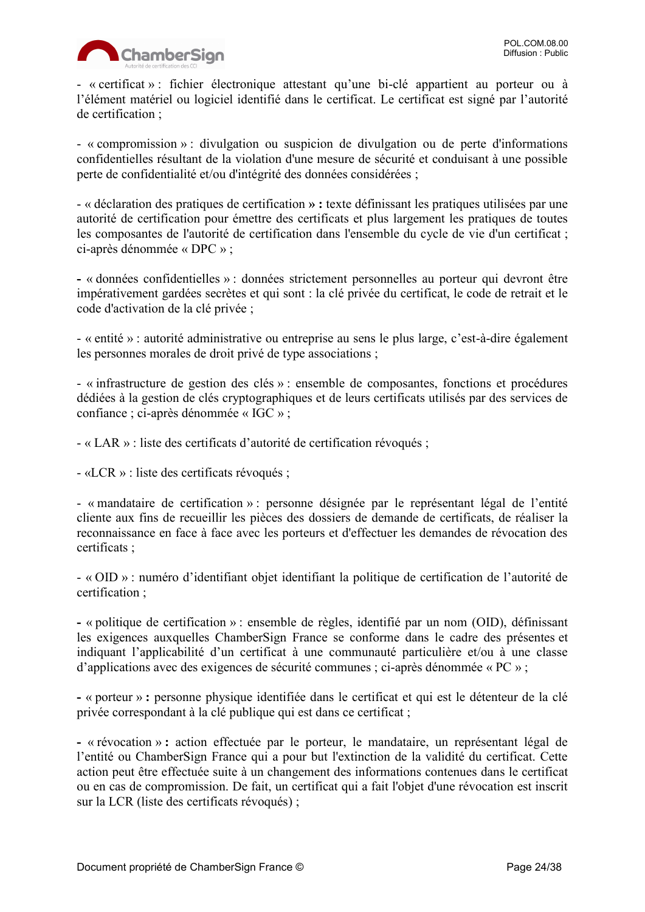

- « certificat » : fichier électronique attestant qu'une bi-clé appartient au porteur ou à l'élément matériel ou logiciel identifié dans le certificat. Le certificat est signé par l'autorité de certification ;

- « compromission » : divulgation ou suspicion de divulgation ou de perte d'informations confidentielles résultant de la violation d'une mesure de sécurité et conduisant à une possible perte de confidentialité et/ou d'intégrité des données considérées ;

- « déclaration des pratiques de certification **» :** texte définissant les pratiques utilisées par une autorité de certification pour émettre des certificats et plus largement les pratiques de toutes les composantes de l'autorité de certification dans l'ensemble du cycle de vie d'un certificat ; ci-après dénommée « DPC » ;

**-** « données confidentielles » : données strictement personnelles au porteur qui devront être impérativement gardées secrètes et qui sont : la clé privée du certificat, le code de retrait et le code d'activation de la clé privée ;

- « entité » : autorité administrative ou entreprise au sens le plus large, c'est-à-dire également les personnes morales de droit privé de type associations ;

- « infrastructure de gestion des clés » : ensemble de composantes, fonctions et procédures dédiées à la gestion de clés cryptographiques et de leurs certificats utilisés par des services de confiance ; ci-après dénommée « IGC » ;

- « LAR » : liste des certificats d'autorité de certification révoqués ;

- «LCR » : liste des certificats révoqués ;

- « mandataire de certification » : personne désignée par le représentant légal de l'entité cliente aux fins de recueillir les pièces des dossiers de demande de certificats, de réaliser la reconnaissance en face à face avec les porteurs et d'effectuer les demandes de révocation des certificats ;

- « OID » : numéro d'identifiant objet identifiant la politique de certification de l'autorité de certification ;

**-** « politique de certification » : ensemble de règles, identifié par un nom (OID), définissant les exigences auxquelles ChamberSign France se conforme dans le cadre des présentes et indiquant l'applicabilité d'un certificat à une communauté particulière et/ou à une classe d'applications avec des exigences de sécurité communes ; ci-après dénommée « PC » ;

**-** « porteur » **:** personne physique identifiée dans le certificat et qui est le détenteur de la clé privée correspondant à la clé publique qui est dans ce certificat ;

**-** « révocation » **:** action effectuée par le porteur, le mandataire, un représentant légal de l'entité ou ChamberSign France qui a pour but l'extinction de la validité du certificat. Cette action peut être effectuée suite à un changement des informations contenues dans le certificat ou en cas de compromission. De fait, un certificat qui a fait l'objet d'une révocation est inscrit sur la LCR (liste des certificats révoqués) ;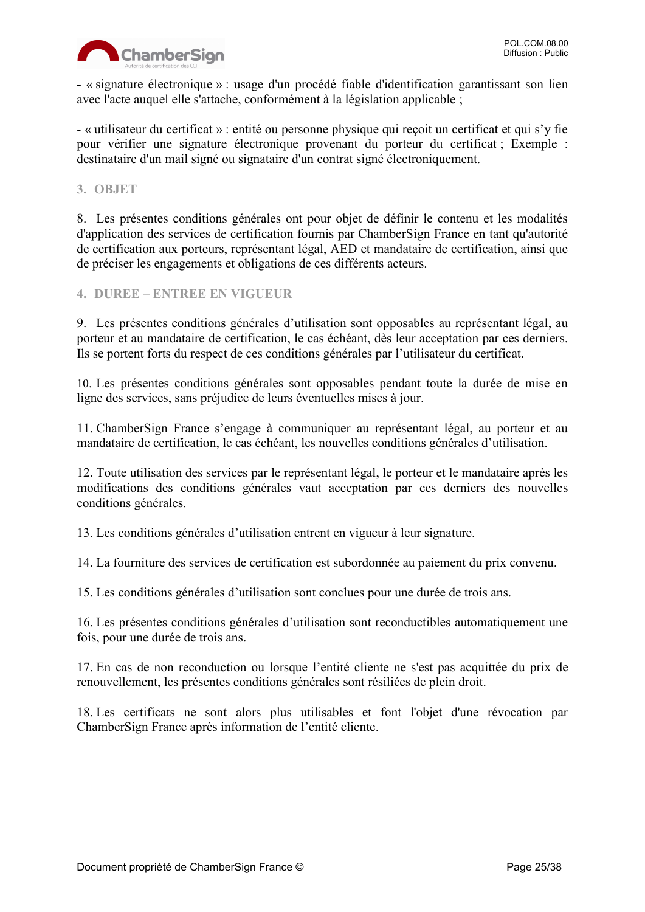

**-** « signature électronique » : usage d'un procédé fiable d'identification garantissant son lien avec l'acte auquel elle s'attache, conformément à la législation applicable ;

- « utilisateur du certificat » : entité ou personne physique qui reçoit un certificat et qui s'y fie pour vérifier une signature électronique provenant du porteur du certificat ; Exemple : destinataire d'un mail signé ou signataire d'un contrat signé électroniquement.

<span id="page-24-0"></span>**3. OBJET**

8. Les présentes conditions générales ont pour objet de définir le contenu et les modalités d'application des services de certification fournis par ChamberSign France en tant qu'autorité de certification aux porteurs, représentant légal, AED et mandataire de certification, ainsi que de préciser les engagements et obligations de ces différents acteurs.

<span id="page-24-1"></span>**4. DUREE – ENTREE EN VIGUEUR**

9. Les présentes conditions générales d'utilisation sont opposables au représentant légal, au porteur et au mandataire de certification, le cas échéant, dès leur acceptation par ces derniers. Ils se portent forts du respect de ces conditions générales par l'utilisateur du certificat.

10. Les présentes conditions générales sont opposables pendant toute la durée de mise en ligne des services, sans préjudice de leurs éventuelles mises à jour.

11. ChamberSign France s'engage à communiquer au représentant légal, au porteur et au mandataire de certification, le cas échéant, les nouvelles conditions générales d'utilisation.

12. Toute utilisation des services par le représentant légal, le porteur et le mandataire après les modifications des conditions générales vaut acceptation par ces derniers des nouvelles conditions générales.

13. Les conditions générales d'utilisation entrent en vigueur à leur signature.

14. La fourniture des services de certification est subordonnée au paiement du prix convenu.

15. Les conditions générales d'utilisation sont conclues pour une durée de trois ans.

16. Les présentes conditions générales d'utilisation sont reconductibles automatiquement une fois, pour une durée de trois ans.

17. En cas de non reconduction ou lorsque l'entité cliente ne s'est pas acquittée du prix de renouvellement, les présentes conditions générales sont résiliées de plein droit.

18. Les certificats ne sont alors plus utilisables et font l'objet d'une révocation par ChamberSign France après information de l'entité cliente.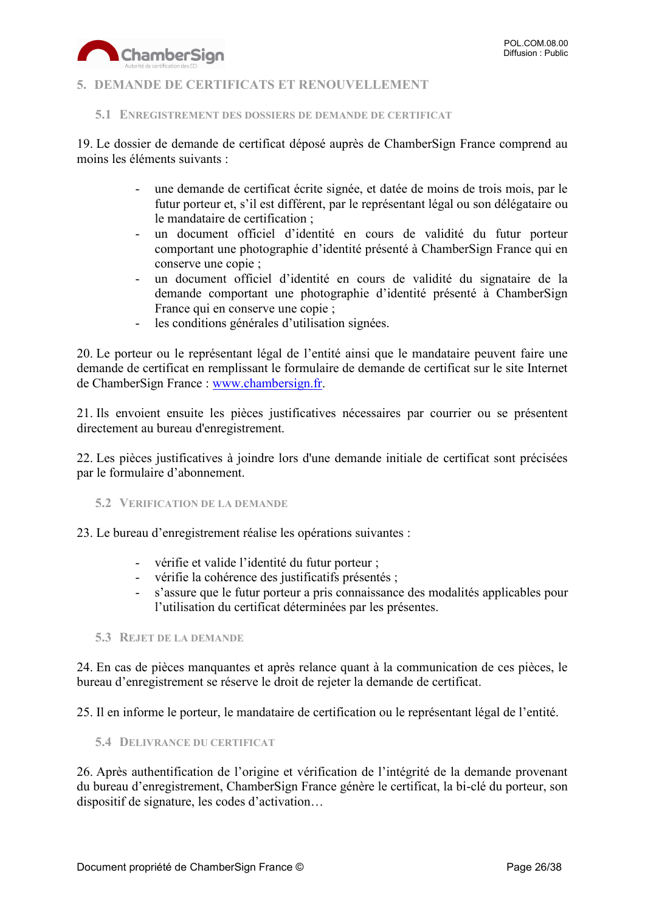

#### <span id="page-25-0"></span>**5. DEMANDE DE CERTIFICATS ET RENOUVELLEMENT**

<span id="page-25-1"></span>**5.1 ENREGISTREMENT DES DOSSIERS DE DEMANDE DE CERTIFICAT**

19. Le dossier de demande de certificat déposé auprès de ChamberSign France comprend au moins les éléments suivants :

- une demande de certificat écrite signée, et datée de moins de trois mois, par le futur porteur et, s'il est différent, par le représentant légal ou son délégataire ou le mandataire de certification ;
- un document officiel d'identité en cours de validité du futur porteur comportant une photographie d'identité présenté à ChamberSign France qui en conserve une copie ;
- un document officiel d'identité en cours de validité du signataire de la demande comportant une photographie d'identité présenté à ChamberSign France qui en conserve une copie ;
- les conditions générales d'utilisation signées.

20. Le porteur ou le représentant légal de l'entité ainsi que le mandataire peuvent faire une demande de certificat en remplissant le formulaire de demande de certificat sur le site Internet de ChamberSign France : [www.chambersign.fr.](http://www.chambersign.fr/)

21. Ils envoient ensuite les pièces justificatives nécessaires par courrier ou se présentent directement au bureau d'enregistrement.

22. Les pièces justificatives à joindre lors d'une demande initiale de certificat sont précisées par le formulaire d'abonnement.

<span id="page-25-2"></span>**5.2 VERIFICATION DE LA DEMANDE**

23. Le bureau d'enregistrement réalise les opérations suivantes :

- vérifie et valide l'identité du futur porteur ;
- vérifie la cohérence des justificatifs présentés ;
- s'assure que le futur porteur a pris connaissance des modalités applicables pour l'utilisation du certificat déterminées par les présentes.

<span id="page-25-3"></span>**5.3 REJET DE LA DEMANDE**

24. En cas de pièces manquantes et après relance quant à la communication de ces pièces, le bureau d'enregistrement se réserve le droit de rejeter la demande de certificat.

25. Il en informe le porteur, le mandataire de certification ou le représentant légal de l'entité.

<span id="page-25-4"></span>**5.4 DELIVRANCE DU CERTIFICAT**

26. Après authentification de l'origine et vérification de l'intégrité de la demande provenant du bureau d'enregistrement, ChamberSign France génère le certificat, la bi-clé du porteur, son dispositif de signature, les codes d'activation…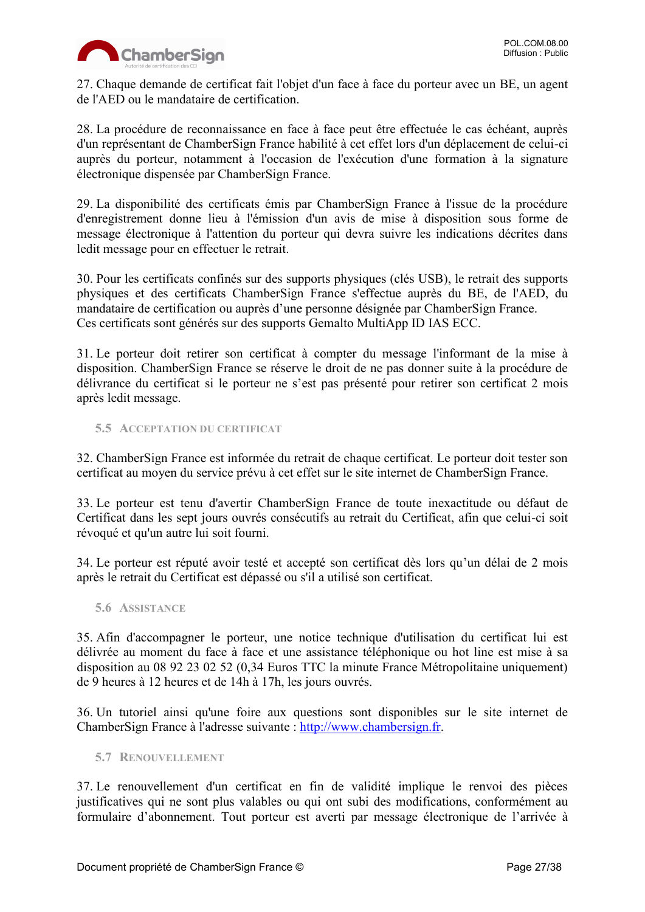

27. Chaque demande de certificat fait l'objet d'un face à face du porteur avec un BE, un agent de l'AED ou le mandataire de certification.

28. La procédure de reconnaissance en face à face peut être effectuée le cas échéant, auprès d'un représentant de ChamberSign France habilité à cet effet lors d'un déplacement de celui-ci auprès du porteur, notamment à l'occasion de l'exécution d'une formation à la signature électronique dispensée par ChamberSign France.

29. La disponibilité des certificats émis par ChamberSign France à l'issue de la procédure d'enregistrement donne lieu à l'émission d'un avis de mise à disposition sous forme de message électronique à l'attention du porteur qui devra suivre les indications décrites dans ledit message pour en effectuer le retrait.

30. Pour les certificats confinés sur des supports physiques (clés USB), le retrait des supports physiques et des certificats ChamberSign France s'effectue auprès du BE, de l'AED, du mandataire de certification ou auprès d'une personne désignée par ChamberSign France. Ces certificats sont générés sur des supports Gemalto MultiApp ID IAS ECC.

31. Le porteur doit retirer son certificat à compter du message l'informant de la mise à disposition. ChamberSign France se réserve le droit de ne pas donner suite à la procédure de délivrance du certificat si le porteur ne s'est pas présenté pour retirer son certificat 2 mois après ledit message.

<span id="page-26-0"></span>**5.5 ACCEPTATION DU CERTIFICAT**

32. ChamberSign France est informée du retrait de chaque certificat. Le porteur doit tester son certificat au moyen du service prévu à cet effet sur le site internet de ChamberSign France.

33. Le porteur est tenu d'avertir ChamberSign France de toute inexactitude ou défaut de Certificat dans les sept jours ouvrés consécutifs au retrait du Certificat, afin que celui-ci soit révoqué et qu'un autre lui soit fourni.

34. Le porteur est réputé avoir testé et accepté son certificat dès lors qu'un délai de 2 mois après le retrait du Certificat est dépassé ou s'il a utilisé son certificat.

<span id="page-26-1"></span>**5.6 ASSISTANCE**

35. Afin d'accompagner le porteur, une notice technique d'utilisation du certificat lui est délivrée au moment du face à face et une assistance téléphonique ou hot line est mise à sa disposition au 08 92 23 02 52 (0,34 Euros TTC la minute France Métropolitaine uniquement) de 9 heures à 12 heures et de 14h à 17h, les jours ouvrés.

36. Un tutoriel ainsi qu'une foire aux questions sont disponibles sur le site internet de ChamberSign France à l'adresse suivante : [http://www.chambersign.fr.](http://www.chambersign.fr/)

<span id="page-26-2"></span>**5.7 RENOUVELLEMENT**

37. Le renouvellement d'un certificat en fin de validité implique le renvoi des pièces justificatives qui ne sont plus valables ou qui ont subi des modifications, conformément au formulaire d'abonnement. Tout porteur est averti par message électronique de l'arrivée à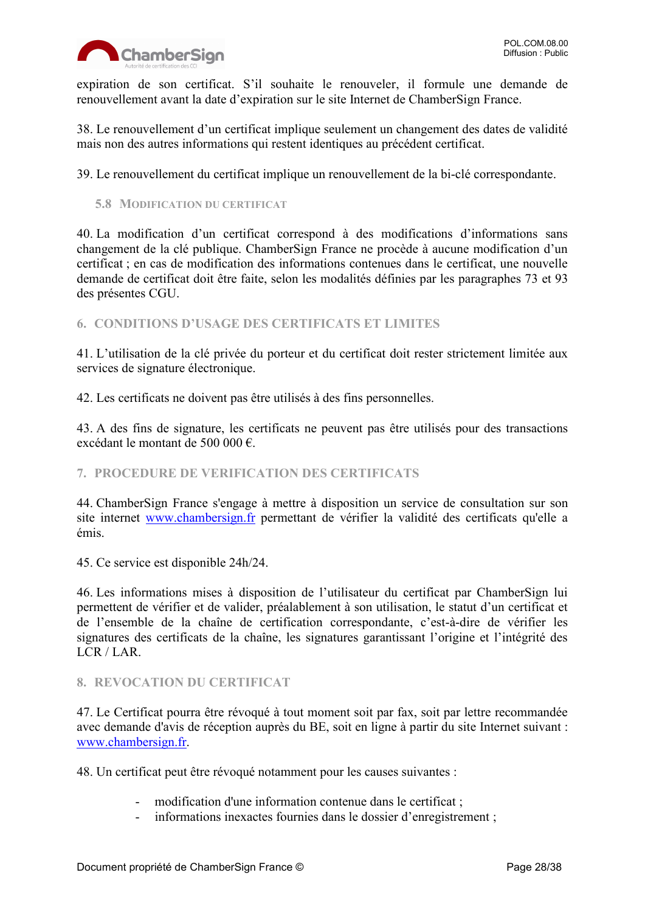

expiration de son certificat. S'il souhaite le renouveler, il formule une demande de renouvellement avant la date d'expiration sur le site Internet de ChamberSign France.

38. Le renouvellement d'un certificat implique seulement un changement des dates de validité mais non des autres informations qui restent identiques au précédent certificat.

39. Le renouvellement du certificat implique un renouvellement de la bi-clé correspondante.

<span id="page-27-0"></span>**5.8 MODIFICATION DU CERTIFICAT**

40. La modification d'un certificat correspond à des modifications d'informations sans changement de la clé publique. ChamberSign France ne procède à aucune modification d'un certificat ; en cas de modification des informations contenues dans le certificat, une nouvelle demande de certificat doit être faite, selon les modalités définies par les paragraphes 73 et 93 des présentes CGU.

<span id="page-27-1"></span>**6. CONDITIONS D'USAGE DES CERTIFICATS ET LIMITES**

41. L'utilisation de la clé privée du porteur et du certificat doit rester strictement limitée aux services de signature électronique.

42. Les certificats ne doivent pas être utilisés à des fins personnelles.

43. A des fins de signature, les certificats ne peuvent pas être utilisés pour des transactions excédant le montant de 500 000 €.

#### <span id="page-27-2"></span>**7. PROCEDURE DE VERIFICATION DES CERTIFICATS**

44. ChamberSign France s'engage à mettre à disposition un service de consultation sur son site internet [www.chambersign.fr](http://www.chambersign.fr/) permettant de vérifier la validité des certificats qu'elle a émis.

45. Ce service est disponible 24h/24.

46. Les informations mises à disposition de l'utilisateur du certificat par ChamberSign lui permettent de vérifier et de valider, préalablement à son utilisation, le statut d'un certificat et de l'ensemble de la chaîne de certification correspondante, c'est-à-dire de vérifier les signatures des certificats de la chaîne, les signatures garantissant l'origine et l'intégrité des LCR / LAR.

#### <span id="page-27-3"></span>**8. REVOCATION DU CERTIFICAT**

47. Le Certificat pourra être révoqué à tout moment soit par fax, soit par lettre recommandée avec demande d'avis de réception auprès du BE, soit en ligne à partir du site Internet suivant : [www.chambersign.fr.](http://www.chambersign.fr/)

48. Un certificat peut être révoqué notamment pour les causes suivantes :

- modification d'une information contenue dans le certificat ;
- informations inexactes fournies dans le dossier d'enregistrement ;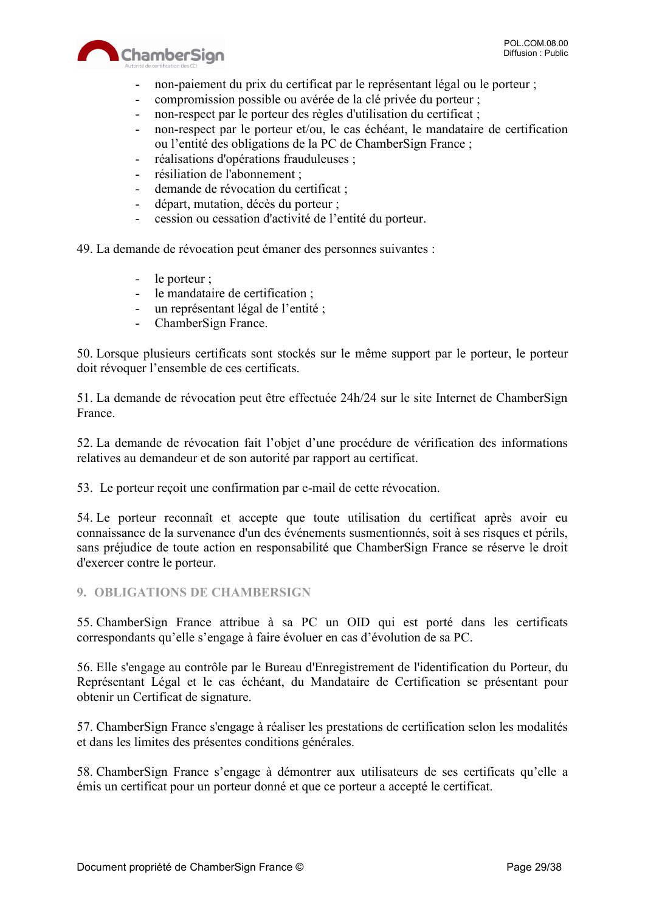



- non-paiement du prix du certificat par le représentant légal ou le porteur ;
- compromission possible ou avérée de la clé privée du porteur ;
- non-respect par le porteur des règles d'utilisation du certificat ;
- non-respect par le porteur et/ou, le cas échéant, le mandataire de certification ou l'entité des obligations de la PC de ChamberSign France ;
- réalisations d'opérations frauduleuses ;
- résiliation de l'abonnement ;
- demande de révocation du certificat ;
- départ, mutation, décès du porteur ;
- cession ou cessation d'activité de l'entité du porteur.

49. La demande de révocation peut émaner des personnes suivantes :

- le porteur ;
- le mandataire de certification ;
- un représentant légal de l'entité ;
- ChamberSign France.

50. Lorsque plusieurs certificats sont stockés sur le même support par le porteur, le porteur doit révoquer l'ensemble de ces certificats.

51. La demande de révocation peut être effectuée 24h/24 sur le site Internet de ChamberSign France.

52. La demande de révocation fait l'objet d'une procédure de vérification des informations relatives au demandeur et de son autorité par rapport au certificat.

53. Le porteur reçoit une confirmation par e-mail de cette révocation.

54. Le porteur reconnaît et accepte que toute utilisation du certificat après avoir eu connaissance de la survenance d'un des événements susmentionnés, soit à ses risques et périls, sans préjudice de toute action en responsabilité que ChamberSign France se réserve le droit d'exercer contre le porteur.

#### <span id="page-28-0"></span>**9. OBLIGATIONS DE CHAMBERSIGN**

55. ChamberSign France attribue à sa PC un OID qui est porté dans les certificats correspondants qu'elle s'engage à faire évoluer en cas d'évolution de sa PC.

56. Elle s'engage au contrôle par le Bureau d'Enregistrement de l'identification du Porteur, du Représentant Légal et le cas échéant, du Mandataire de Certification se présentant pour obtenir un Certificat de signature.

57. ChamberSign France s'engage à réaliser les prestations de certification selon les modalités et dans les limites des présentes conditions générales.

58. ChamberSign France s'engage à démontrer aux utilisateurs de ses certificats qu'elle a émis un certificat pour un porteur donné et que ce porteur a accepté le certificat.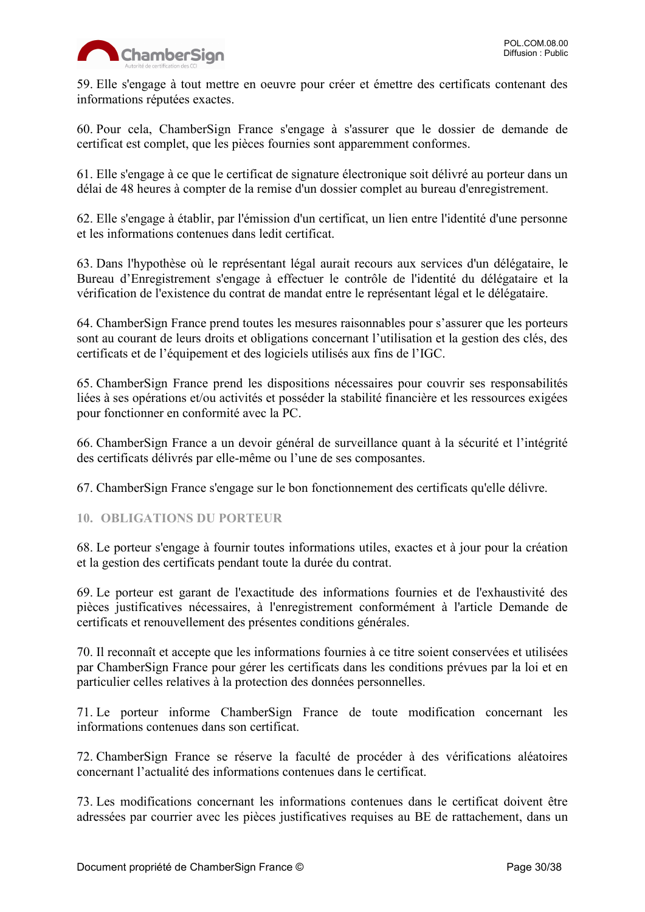59. Elle s'engage à tout mettre en oeuvre pour créer et émettre des certificats contenant des informations réputées exactes.

60. Pour cela, ChamberSign France s'engage à s'assurer que le dossier de demande de certificat est complet, que les pièces fournies sont apparemment conformes.

61. Elle s'engage à ce que le certificat de signature électronique soit délivré au porteur dans un délai de 48 heures à compter de la remise d'un dossier complet au bureau d'enregistrement.

62. Elle s'engage à établir, par l'émission d'un certificat, un lien entre l'identité d'une personne et les informations contenues dans ledit certificat.

63. Dans l'hypothèse où le représentant légal aurait recours aux services d'un délégataire, le Bureau d'Enregistrement s'engage à effectuer le contrôle de l'identité du délégataire et la vérification de l'existence du contrat de mandat entre le représentant légal et le délégataire.

64. ChamberSign France prend toutes les mesures raisonnables pour s'assurer que les porteurs sont au courant de leurs droits et obligations concernant l'utilisation et la gestion des clés, des certificats et de l'équipement et des logiciels utilisés aux fins de l'IGC.

65. ChamberSign France prend les dispositions nécessaires pour couvrir ses responsabilités liées à ses opérations et/ou activités et posséder la stabilité financière et les ressources exigées pour fonctionner en conformité avec la PC.

66. ChamberSign France a un devoir général de surveillance quant à la sécurité et l'intégrité des certificats délivrés par elle-même ou l'une de ses composantes.

67. ChamberSign France s'engage sur le bon fonctionnement des certificats qu'elle délivre.

#### <span id="page-29-0"></span>**10. OBLIGATIONS DU PORTEUR**

68. Le porteur s'engage à fournir toutes informations utiles, exactes et à jour pour la création et la gestion des certificats pendant toute la durée du contrat.

69. Le porteur est garant de l'exactitude des informations fournies et de l'exhaustivité des pièces justificatives nécessaires, à l'enregistrement conformément à l'article Demande de certificats et renouvellement des présentes conditions générales.

70. Il reconnaît et accepte que les informations fournies à ce titre soient conservées et utilisées par ChamberSign France pour gérer les certificats dans les conditions prévues par la loi et en particulier celles relatives à la protection des données personnelles.

71. Le porteur informe ChamberSign France de toute modification concernant les informations contenues dans son certificat.

72. ChamberSign France se réserve la faculté de procéder à des vérifications aléatoires concernant l'actualité des informations contenues dans le certificat.

73. Les modifications concernant les informations contenues dans le certificat doivent être adressées par courrier avec les pièces justificatives requises au BE de rattachement, dans un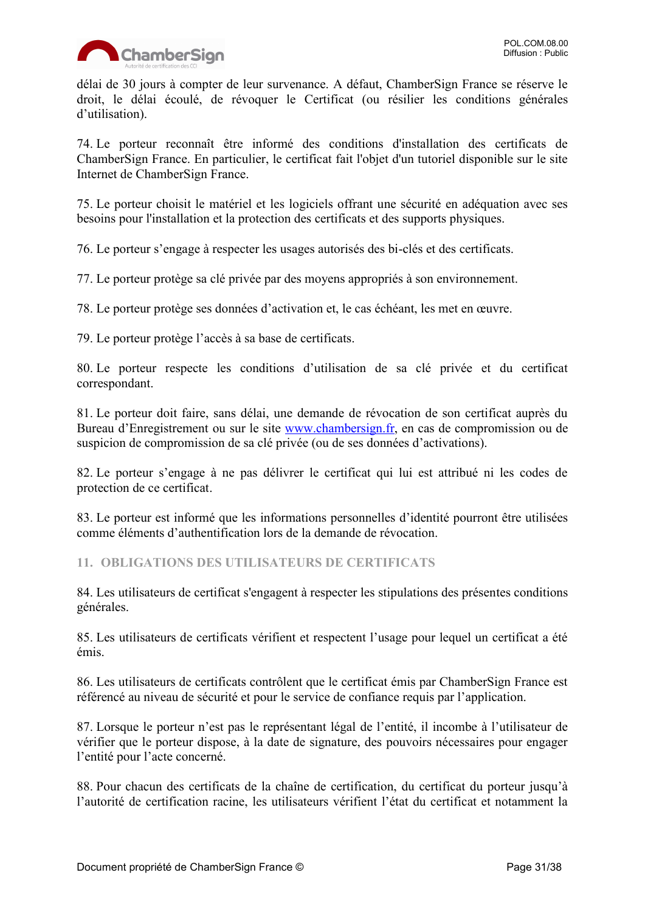

délai de 30 jours à compter de leur survenance. A défaut, ChamberSign France se réserve le droit, le délai écoulé, de révoquer le Certificat (ou résilier les conditions générales d'utilisation).

74. Le porteur reconnaît être informé des conditions d'installation des certificats de ChamberSign France. En particulier, le certificat fait l'objet d'un tutoriel disponible sur le site Internet de ChamberSign France.

75. Le porteur choisit le matériel et les logiciels offrant une sécurité en adéquation avec ses besoins pour l'installation et la protection des certificats et des supports physiques.

76. Le porteur s'engage à respecter les usages autorisés des bi-clés et des certificats.

77. Le porteur protège sa clé privée par des moyens appropriés à son environnement.

78. Le porteur protège ses données d'activation et, le cas échéant, les met en œuvre.

79. Le porteur protège l'accès à sa base de certificats.

80. Le porteur respecte les conditions d'utilisation de sa clé privée et du certificat correspondant.

81. Le porteur doit faire, sans délai, une demande de révocation de son certificat auprès du Bureau d'Enregistrement ou sur le site [www.chambersign.fr,](http://www.chambersign.fr/) en cas de compromission ou de suspicion de compromission de sa clé privée (ou de ses données d'activations).

82. Le porteur s'engage à ne pas délivrer le certificat qui lui est attribué ni les codes de protection de ce certificat.

83. Le porteur est informé que les informations personnelles d'identité pourront être utilisées comme éléments d'authentification lors de la demande de révocation.

<span id="page-30-0"></span>**11. OBLIGATIONS DES UTILISATEURS DE CERTIFICATS**

84. Les utilisateurs de certificat s'engagent à respecter les stipulations des présentes conditions générales.

85. Les utilisateurs de certificats vérifient et respectent l'usage pour lequel un certificat a été émis.

86. Les utilisateurs de certificats contrôlent que le certificat émis par ChamberSign France est référencé au niveau de sécurité et pour le service de confiance requis par l'application.

87. Lorsque le porteur n'est pas le représentant légal de l'entité, il incombe à l'utilisateur de vérifier que le porteur dispose, à la date de signature, des pouvoirs nécessaires pour engager l'entité pour l'acte concerné.

88. Pour chacun des certificats de la chaîne de certification, du certificat du porteur jusqu'à l'autorité de certification racine, les utilisateurs vérifient l'état du certificat et notamment la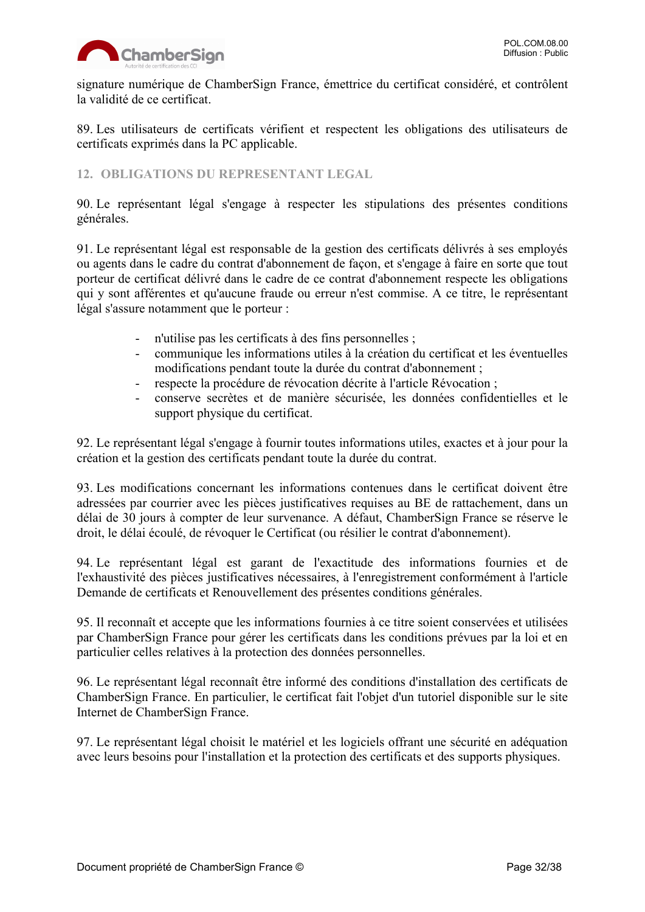

signature numérique de ChamberSign France, émettrice du certificat considéré, et contrôlent la validité de ce certificat.

89. Les utilisateurs de certificats vérifient et respectent les obligations des utilisateurs de certificats exprimés dans la PC applicable.

#### <span id="page-31-0"></span>**12. OBLIGATIONS DU REPRESENTANT LEGAL**

90. Le représentant légal s'engage à respecter les stipulations des présentes conditions générales.

91. Le représentant légal est responsable de la gestion des certificats délivrés à ses employés ou agents dans le cadre du contrat d'abonnement de façon, et s'engage à faire en sorte que tout porteur de certificat délivré dans le cadre de ce contrat d'abonnement respecte les obligations qui y sont afférentes et qu'aucune fraude ou erreur n'est commise. A ce titre, le représentant légal s'assure notamment que le porteur :

- n'utilise pas les certificats à des fins personnelles ;
- communique les informations utiles à la création du certificat et les éventuelles modifications pendant toute la durée du contrat d'abonnement ;
- respecte la procédure de révocation décrite à l'article Révocation ;
- conserve secrètes et de manière sécurisée, les données confidentielles et le support physique du certificat.

92. Le représentant légal s'engage à fournir toutes informations utiles, exactes et à jour pour la création et la gestion des certificats pendant toute la durée du contrat.

93. Les modifications concernant les informations contenues dans le certificat doivent être adressées par courrier avec les pièces justificatives requises au BE de rattachement, dans un délai de 30 jours à compter de leur survenance. A défaut, ChamberSign France se réserve le droit, le délai écoulé, de révoquer le Certificat (ou résilier le contrat d'abonnement).

94. Le représentant légal est garant de l'exactitude des informations fournies et de l'exhaustivité des pièces justificatives nécessaires, à l'enregistrement conformément à l'article Demande de certificats et Renouvellement des présentes conditions générales.

95. Il reconnaît et accepte que les informations fournies à ce titre soient conservées et utilisées par ChamberSign France pour gérer les certificats dans les conditions prévues par la loi et en particulier celles relatives à la protection des données personnelles.

96. Le représentant légal reconnaît être informé des conditions d'installation des certificats de ChamberSign France. En particulier, le certificat fait l'objet d'un tutoriel disponible sur le site Internet de ChamberSign France.

97. Le représentant légal choisit le matériel et les logiciels offrant une sécurité en adéquation avec leurs besoins pour l'installation et la protection des certificats et des supports physiques.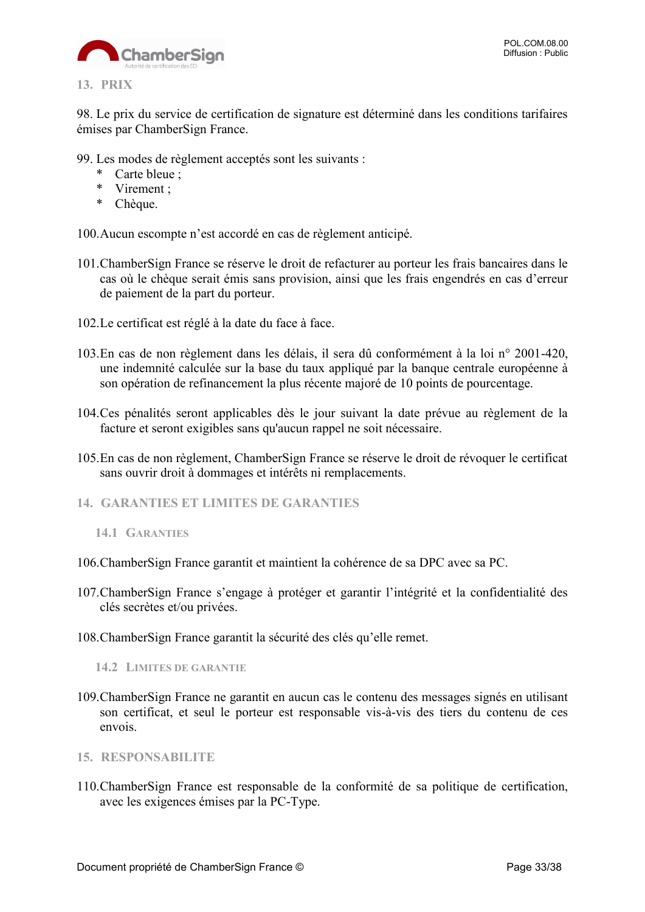

<span id="page-32-0"></span>98. Le prix du service de certification de signature est déterminé dans les conditions tarifaires émises par ChamberSign France.

- 99. Les modes de règlement acceptés sont les suivants :
	- \* Carte bleue ;
	- \* Virement ;
	- \* Chèque.

100.Aucun escompte n'est accordé en cas de règlement anticipé.

- 101.ChamberSign France se réserve le droit de refacturer au porteur les frais bancaires dans le cas où le chèque serait émis sans provision, ainsi que les frais engendrés en cas d'erreur de paiement de la part du porteur.
- 102.Le certificat est réglé à la date du face à face.
- 103.En cas de non règlement dans les délais, il sera dû conformément à la loi n° 2001-420, une indemnité calculée sur la base du taux appliqué par la banque centrale européenne à son opération de refinancement la plus récente majoré de 10 points de pourcentage.
- 104.Ces pénalités seront applicables dès le jour suivant la date prévue au règlement de la facture et seront exigibles sans qu'aucun rappel ne soit nécessaire.
- 105.En cas de non règlement, ChamberSign France se réserve le droit de révoquer le certificat sans ouvrir droit à dommages et intérêts ni remplacements.
- <span id="page-32-1"></span>**14. GARANTIES ET LIMITES DE GARANTIES**

- 106.ChamberSign France garantit et maintient la cohérence de sa DPC avec sa PC.
- 107.ChamberSign France s'engage à protéger et garantir l'intégrité et la confidentialité des clés secrètes et/ou privées.
- 108.ChamberSign France garantit la sécurité des clés qu'elle remet.

<span id="page-32-3"></span>**14.2 LIMITES DE GARANTIE**

- 109.ChamberSign France ne garantit en aucun cas le contenu des messages signés en utilisant son certificat, et seul le porteur est responsable vis-à-vis des tiers du contenu de ces envois.
- <span id="page-32-4"></span>**15. RESPONSABILITE**
- 110.ChamberSign France est responsable de la conformité de sa politique de certification, avec les exigences émises par la PC-Type.

<span id="page-32-2"></span>**<sup>14.1</sup> GARANTIES**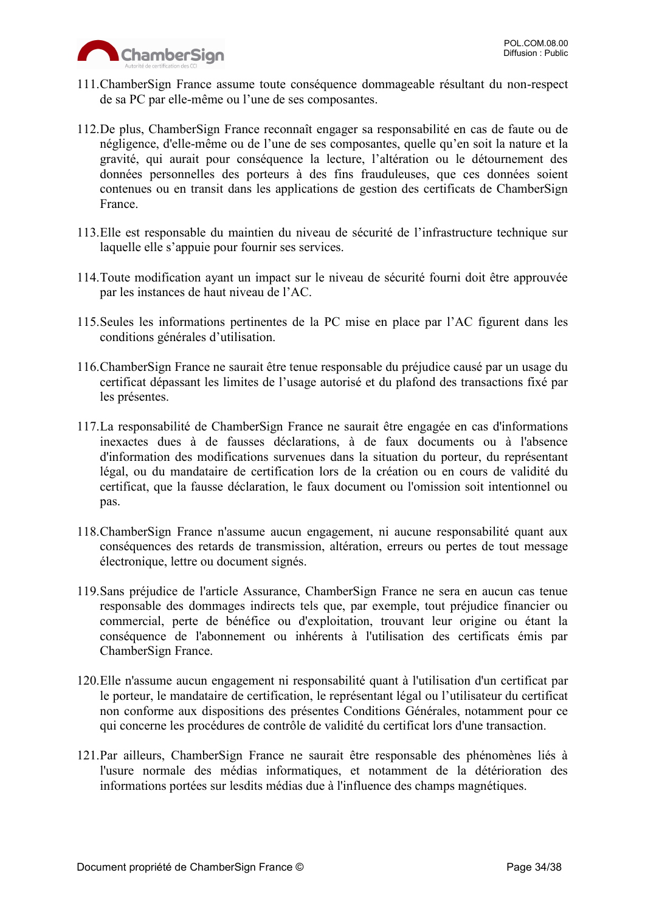

- 111.ChamberSign France assume toute conséquence dommageable résultant du non-respect de sa PC par elle-même ou l'une de ses composantes.
- 112.De plus, ChamberSign France reconnaît engager sa responsabilité en cas de faute ou de négligence, d'elle-même ou de l'une de ses composantes, quelle qu'en soit la nature et la gravité, qui aurait pour conséquence la lecture, l'altération ou le détournement des données personnelles des porteurs à des fins frauduleuses, que ces données soient contenues ou en transit dans les applications de gestion des certificats de ChamberSign France.
- 113.Elle est responsable du maintien du niveau de sécurité de l'infrastructure technique sur laquelle elle s'appuie pour fournir ses services.
- 114.Toute modification ayant un impact sur le niveau de sécurité fourni doit être approuvée par les instances de haut niveau de l'AC.
- 115.Seules les informations pertinentes de la PC mise en place par l'AC figurent dans les conditions générales d'utilisation.
- 116.ChamberSign France ne saurait être tenue responsable du préjudice causé par un usage du certificat dépassant les limites de l'usage autorisé et du plafond des transactions fixé par les présentes.
- 117.La responsabilité de ChamberSign France ne saurait être engagée en cas d'informations inexactes dues à de fausses déclarations, à de faux documents ou à l'absence d'information des modifications survenues dans la situation du porteur, du représentant légal, ou du mandataire de certification lors de la création ou en cours de validité du certificat, que la fausse déclaration, le faux document ou l'omission soit intentionnel ou pas.
- 118.ChamberSign France n'assume aucun engagement, ni aucune responsabilité quant aux conséquences des retards de transmission, altération, erreurs ou pertes de tout message électronique, lettre ou document signés.
- 119.Sans préjudice de l'article Assurance, ChamberSign France ne sera en aucun cas tenue responsable des dommages indirects tels que, par exemple, tout préjudice financier ou commercial, perte de bénéfice ou d'exploitation, trouvant leur origine ou étant la conséquence de l'abonnement ou inhérents à l'utilisation des certificats émis par ChamberSign France.
- 120.Elle n'assume aucun engagement ni responsabilité quant à l'utilisation d'un certificat par le porteur, le mandataire de certification, le représentant légal ou l'utilisateur du certificat non conforme aux dispositions des présentes Conditions Générales, notamment pour ce qui concerne les procédures de contrôle de validité du certificat lors d'une transaction.
- 121.Par ailleurs, ChamberSign France ne saurait être responsable des phénomènes liés à l'usure normale des médias informatiques, et notamment de la détérioration des informations portées sur lesdits médias due à l'influence des champs magnétiques.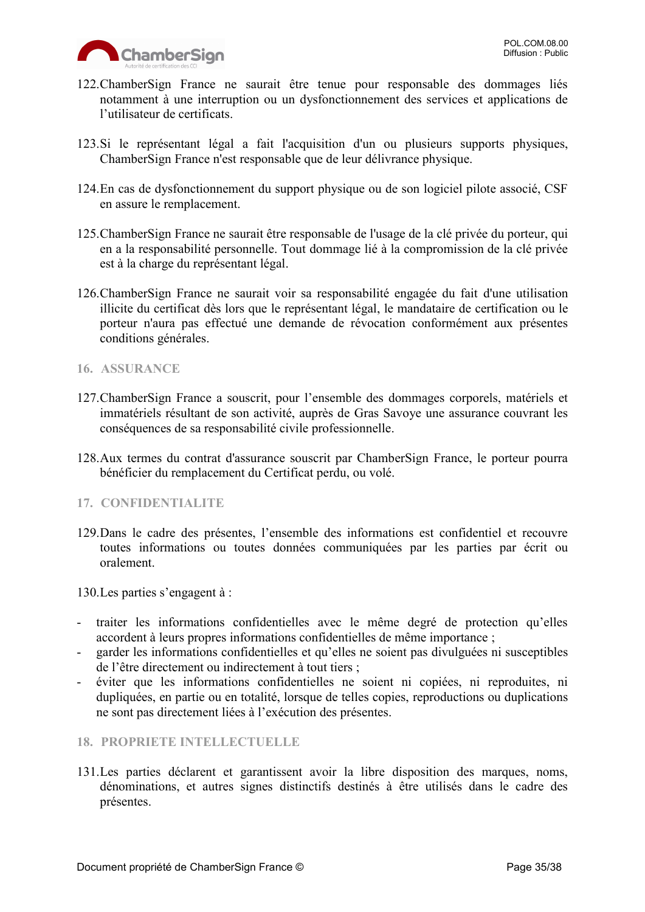

- 122.ChamberSign France ne saurait être tenue pour responsable des dommages liés notamment à une interruption ou un dysfonctionnement des services et applications de l'utilisateur de certificats.
- 123.Si le représentant légal a fait l'acquisition d'un ou plusieurs supports physiques, ChamberSign France n'est responsable que de leur délivrance physique.
- 124.En cas de dysfonctionnement du support physique ou de son logiciel pilote associé, CSF en assure le remplacement.
- 125.ChamberSign France ne saurait être responsable de l'usage de la clé privée du porteur, qui en a la responsabilité personnelle. Tout dommage lié à la compromission de la clé privée est à la charge du représentant légal.
- 126.ChamberSign France ne saurait voir sa responsabilité engagée du fait d'une utilisation illicite du certificat dès lors que le représentant légal, le mandataire de certification ou le porteur n'aura pas effectué une demande de révocation conformément aux présentes conditions générales.
- <span id="page-34-0"></span>**16. ASSURANCE**
- 127.ChamberSign France a souscrit, pour l'ensemble des dommages corporels, matériels et immatériels résultant de son activité, auprès de Gras Savoye une assurance couvrant les conséquences de sa responsabilité civile professionnelle.
- 128.Aux termes du contrat d'assurance souscrit par ChamberSign France, le porteur pourra bénéficier du remplacement du Certificat perdu, ou volé.
- <span id="page-34-1"></span>**17. CONFIDENTIALITE**
- 129.Dans le cadre des présentes, l'ensemble des informations est confidentiel et recouvre toutes informations ou toutes données communiquées par les parties par écrit ou oralement.
- 130.Les parties s'engagent à :
- traiter les informations confidentielles avec le même degré de protection qu'elles accordent à leurs propres informations confidentielles de même importance ;
- garder les informations confidentielles et qu'elles ne soient pas divulguées ni susceptibles de l'être directement ou indirectement à tout tiers ;
- éviter que les informations confidentielles ne soient ni copiées, ni reproduites, ni dupliquées, en partie ou en totalité, lorsque de telles copies, reproductions ou duplications ne sont pas directement liées à l'exécution des présentes.
- <span id="page-34-2"></span>**18. PROPRIETE INTELLECTUELLE**
- 131.Les parties déclarent et garantissent avoir la libre disposition des marques, noms, dénominations, et autres signes distinctifs destinés à être utilisés dans le cadre des présentes.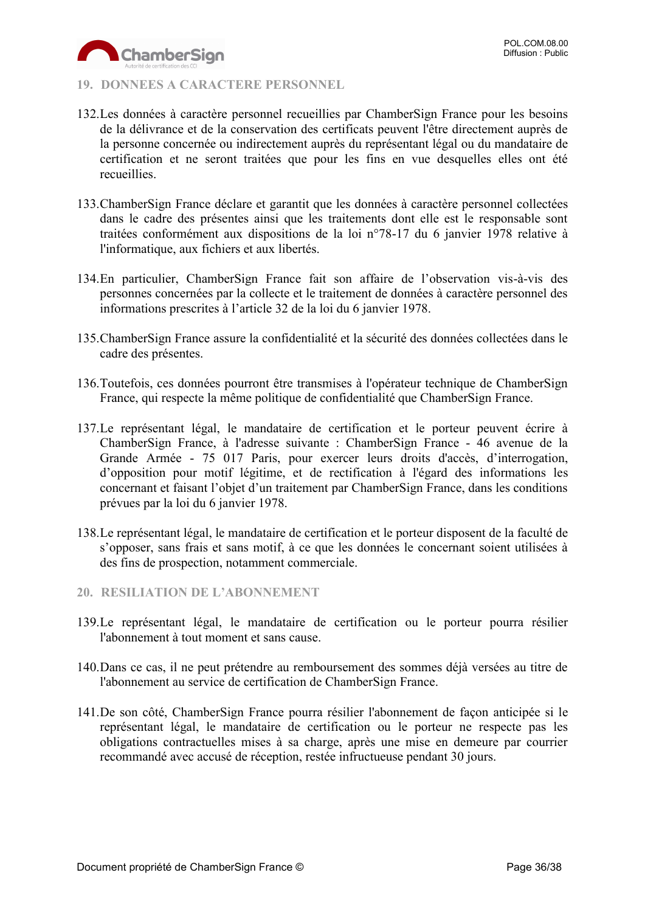

#### <span id="page-35-0"></span>**19. DONNEES A CARACTERE PERSONNEL**

- 132.Les données à caractère personnel recueillies par ChamberSign France pour les besoins de la délivrance et de la conservation des certificats peuvent l'être directement auprès de la personne concernée ou indirectement auprès du représentant légal ou du mandataire de certification et ne seront traitées que pour les fins en vue desquelles elles ont été recueillies.
- 133.ChamberSign France déclare et garantit que les données à caractère personnel collectées dans le cadre des présentes ainsi que les traitements dont elle est le responsable sont traitées conformément aux dispositions de la loi n°78-17 du 6 janvier 1978 relative à l'informatique, aux fichiers et aux libertés.
- 134.En particulier, ChamberSign France fait son affaire de l'observation vis-à-vis des personnes concernées par la collecte et le traitement de données à caractère personnel des informations prescrites à l'article 32 de la loi du 6 janvier 1978.
- 135.ChamberSign France assure la confidentialité et la sécurité des données collectées dans le cadre des présentes.
- 136.Toutefois, ces données pourront être transmises à l'opérateur technique de ChamberSign France, qui respecte la même politique de confidentialité que ChamberSign France.
- 137.Le représentant légal, le mandataire de certification et le porteur peuvent écrire à ChamberSign France, à l'adresse suivante : ChamberSign France - 46 avenue de la Grande Armée - 75 017 Paris, pour exercer leurs droits d'accès, d'interrogation, d'opposition pour motif légitime, et de rectification à l'égard des informations les concernant et faisant l'objet d'un traitement par ChamberSign France, dans les conditions prévues par la loi du 6 janvier 1978.
- 138.Le représentant légal, le mandataire de certification et le porteur disposent de la faculté de s'opposer, sans frais et sans motif, à ce que les données le concernant soient utilisées à des fins de prospection, notamment commerciale.
- <span id="page-35-1"></span>**20. RESILIATION DE L'ABONNEMENT**
- 139.Le représentant légal, le mandataire de certification ou le porteur pourra résilier l'abonnement à tout moment et sans cause.
- 140.Dans ce cas, il ne peut prétendre au remboursement des sommes déjà versées au titre de l'abonnement au service de certification de ChamberSign France.
- 141.De son côté, ChamberSign France pourra résilier l'abonnement de façon anticipée si le représentant légal, le mandataire de certification ou le porteur ne respecte pas les obligations contractuelles mises à sa charge, après une mise en demeure par courrier recommandé avec accusé de réception, restée infructueuse pendant 30 jours.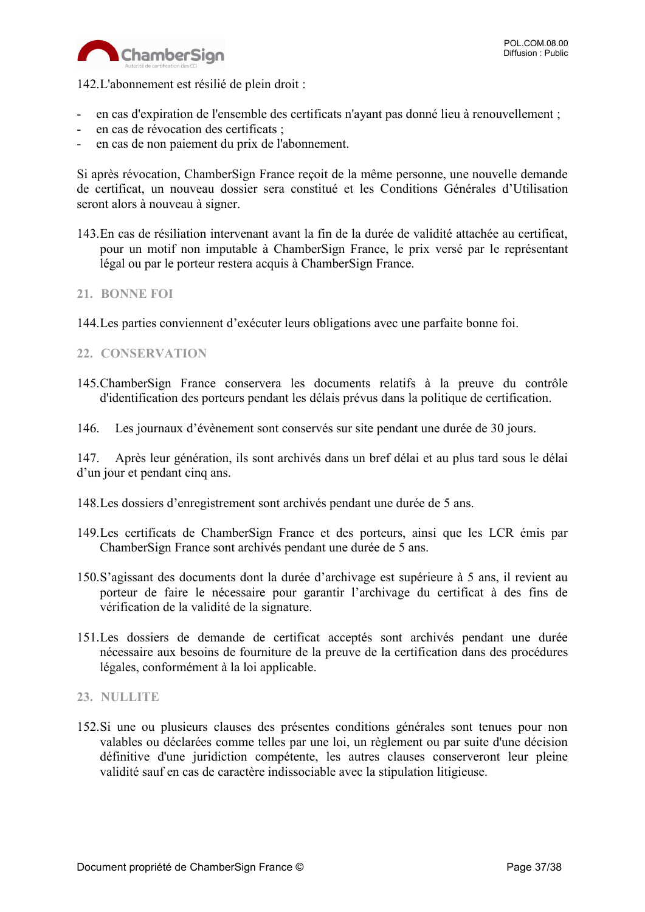

142.L'abonnement est résilié de plein droit :

- en cas d'expiration de l'ensemble des certificats n'ayant pas donné lieu à renouvellement ;
- en cas de révocation des certificats ;
- en cas de non paiement du prix de l'abonnement.

Si après révocation, ChamberSign France reçoit de la même personne, une nouvelle demande de certificat, un nouveau dossier sera constitué et les Conditions Générales d'Utilisation seront alors à nouveau à signer.

143.En cas de résiliation intervenant avant la fin de la durée de validité attachée au certificat, pour un motif non imputable à ChamberSign France, le prix versé par le représentant légal ou par le porteur restera acquis à ChamberSign France.

#### <span id="page-36-0"></span>**21. BONNE FOI**

144.Les parties conviennent d'exécuter leurs obligations avec une parfaite bonne foi.

#### <span id="page-36-1"></span>**22. CONSERVATION**

- 145.ChamberSign France conservera les documents relatifs à la preuve du contrôle d'identification des porteurs pendant les délais prévus dans la politique de certification.
- 146. Les journaux d'évènement sont conservés sur site pendant une durée de 30 jours.

147. Après leur génération, ils sont archivés dans un bref délai et au plus tard sous le délai d'un jour et pendant cinq ans.

- 148.Les dossiers d'enregistrement sont archivés pendant une durée de 5 ans.
- 149.Les certificats de ChamberSign France et des porteurs, ainsi que les LCR émis par ChamberSign France sont archivés pendant une durée de 5 ans.
- 150.S'agissant des documents dont la durée d'archivage est supérieure à 5 ans, il revient au porteur de faire le nécessaire pour garantir l'archivage du certificat à des fins de vérification de la validité de la signature.
- 151.Les dossiers de demande de certificat acceptés sont archivés pendant une durée nécessaire aux besoins de fourniture de la preuve de la certification dans des procédures légales, conformément à la loi applicable.

#### <span id="page-36-2"></span>**23. NULLITE**

152.Si une ou plusieurs clauses des présentes conditions générales sont tenues pour non valables ou déclarées comme telles par une loi, un règlement ou par suite d'une décision définitive d'une juridiction compétente, les autres clauses conserveront leur pleine validité sauf en cas de caractère indissociable avec la stipulation litigieuse.